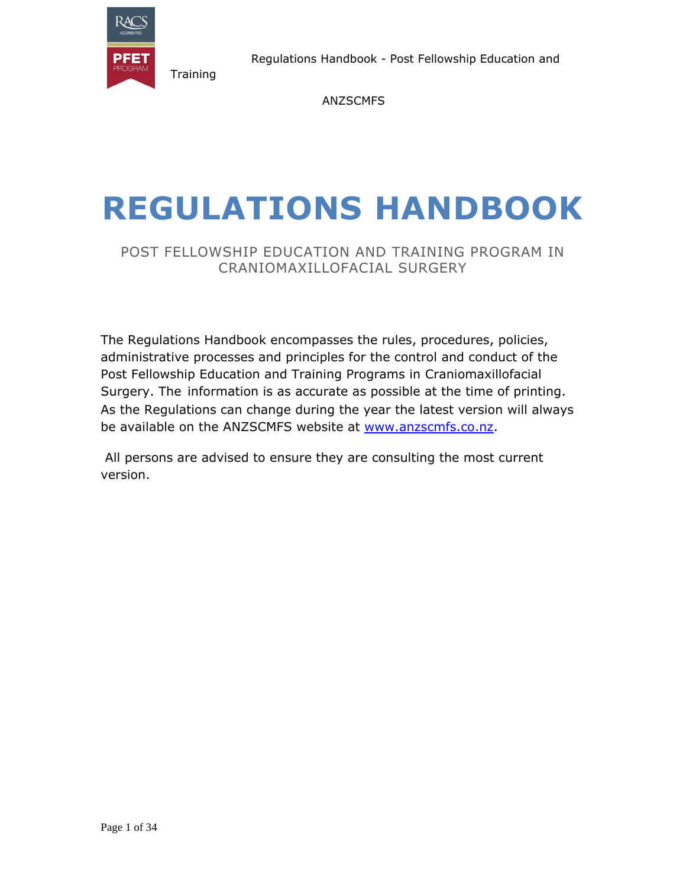

Regulations Handbook - Post Fellowship Education and

ANZSCMFS

# **REGULATIONS HANDBOOK**

# POST FELLOWSHIP EDUCATION AND TRAINING PROGRAM IN CRANIOMAXILLOFACIAL SURGERY

The Regulations Handbook encompasses the rules, procedures, policies, administrative processes and principles for the control and conduct of the Post Fellowship Education and Training Programs in Craniomaxillofacial Surgery. The information is as accurate as possible at the time of printing. As the Regulations can change during the year the latest version will always be available on the ANZSCMFS website at [www.anzscmfs.co.nz.](http://www.anzscmfs.co.nz/)

All persons are advised to ensure they are consulting the most current version.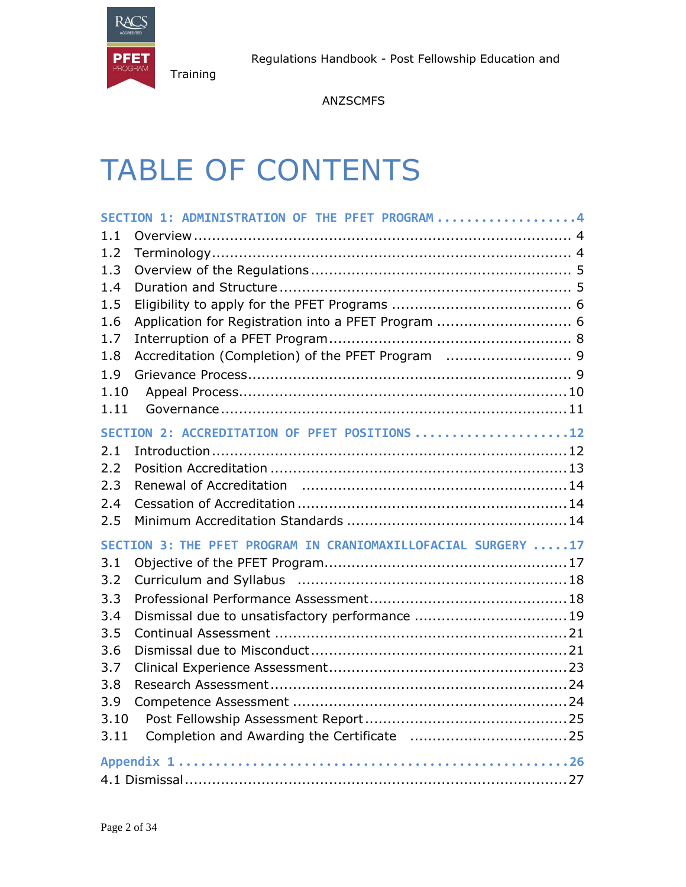

ANZSCMFS

# TABLE OF CONTENTS

| SECTION 1: ADMINISTRATION OF THE PFET PROGRAM4                |  |
|---------------------------------------------------------------|--|
| 1.1                                                           |  |
| 1.2                                                           |  |
| 1.3                                                           |  |
| 1.4                                                           |  |
| 1.5                                                           |  |
| Application for Registration into a PFET Program  6<br>1.6    |  |
| 1.7                                                           |  |
| Accreditation (Completion) of the PFET Program  9<br>1.8      |  |
| 1.9                                                           |  |
| 1.10                                                          |  |
| 1.11                                                          |  |
| SECTION 2: ACCREDITATION OF PFET POSITIONS 12                 |  |
| 2.1                                                           |  |
| 2.2                                                           |  |
| 2.3                                                           |  |
| 2.4                                                           |  |
| 2.5                                                           |  |
| SECTION 3: THE PFET PROGRAM IN CRANIOMAXILLOFACIAL SURGERY 17 |  |
| 3.1                                                           |  |
| 3.2                                                           |  |
| 3.3                                                           |  |
| Dismissal due to unsatisfactory performance 19<br>3.4         |  |
| 3.5                                                           |  |
| 3.6                                                           |  |
| 3.7                                                           |  |
| 3.8                                                           |  |
| 3.9                                                           |  |
| 3.10                                                          |  |
| 3.11                                                          |  |
|                                                               |  |
|                                                               |  |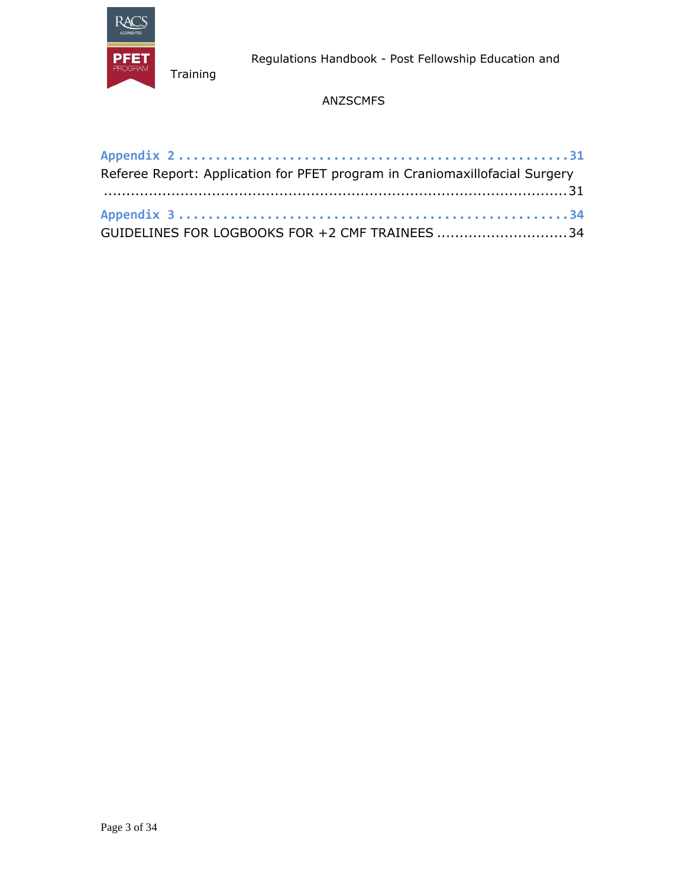

Regulations Handbook - Post Fellowship Education and

# ANZSCMFS

| Referee Report: Application for PFET program in Craniomaxillofacial Surgery |  |
|-----------------------------------------------------------------------------|--|
|                                                                             |  |
|                                                                             |  |
| GUIDELINES FOR LOGBOOKS FOR +2 CMF TRAINEES 34                              |  |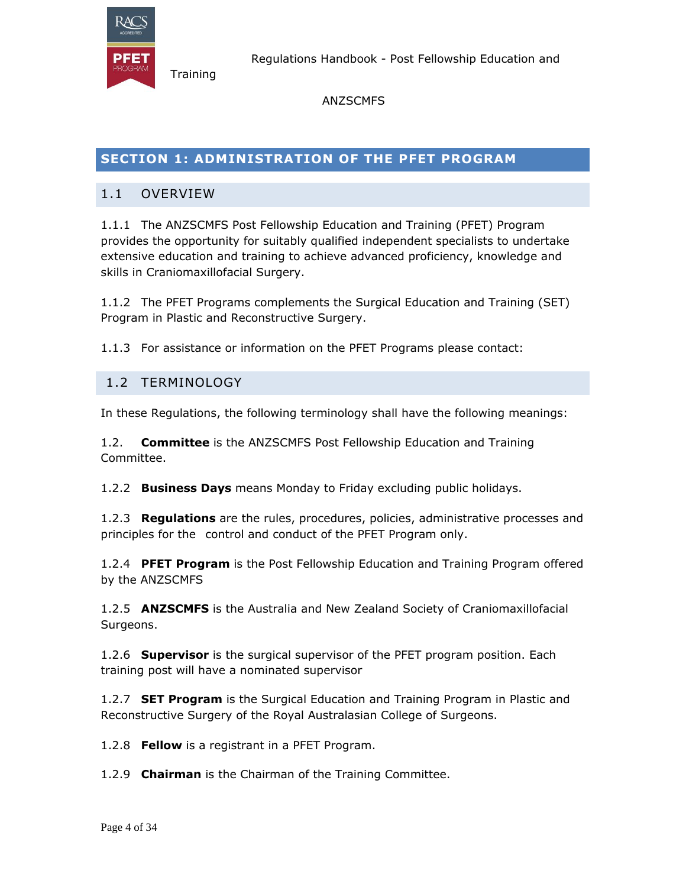

ANZSCMFS

# **SECTION 1: ADMINISTRATION OF THE PFET PROGRAM**

### 1.1 OVERVIEW

**Training** 

1.1.1 The ANZSCMFS Post Fellowship Education and Training (PFET) Program provides the opportunity for suitably qualified independent specialists to undertake extensive education and training to achieve advanced proficiency, knowledge and skills in Craniomaxillofacial Surgery.

1.1.2 The PFET Programs complements the Surgical Education and Training (SET) Program in Plastic and Reconstructive Surgery.

1.1.3 For assistance or information on the PFET Programs please contact:

### 1.2 TERMINOLOGY

In these Regulations, the following terminology shall have the following meanings:

1.2. **Committee** is the ANZSCMFS Post Fellowship Education and Training Committee.

1.2.2 **Business Days** means Monday to Friday excluding public holidays.

1.2.3 **Regulations** are the rules, procedures, policies, administrative processes and principles for the control and conduct of the PFET Program only.

1.2.4 **PFET Program** is the Post Fellowship Education and Training Program offered by the ANZSCMFS

1.2.5 **ANZSCMFS** is the Australia and New Zealand Society of Craniomaxillofacial Surgeons.

1.2.6 **Supervisor** is the surgical supervisor of the PFET program position. Each training post will have a nominated supervisor

1.2.7 **SET Program** is the Surgical Education and Training Program in Plastic and Reconstructive Surgery of the Royal Australasian College of Surgeons.

1.2.8 **Fellow** is a registrant in a PFET Program.

1.2.9 **Chairman** is the Chairman of the Training Committee.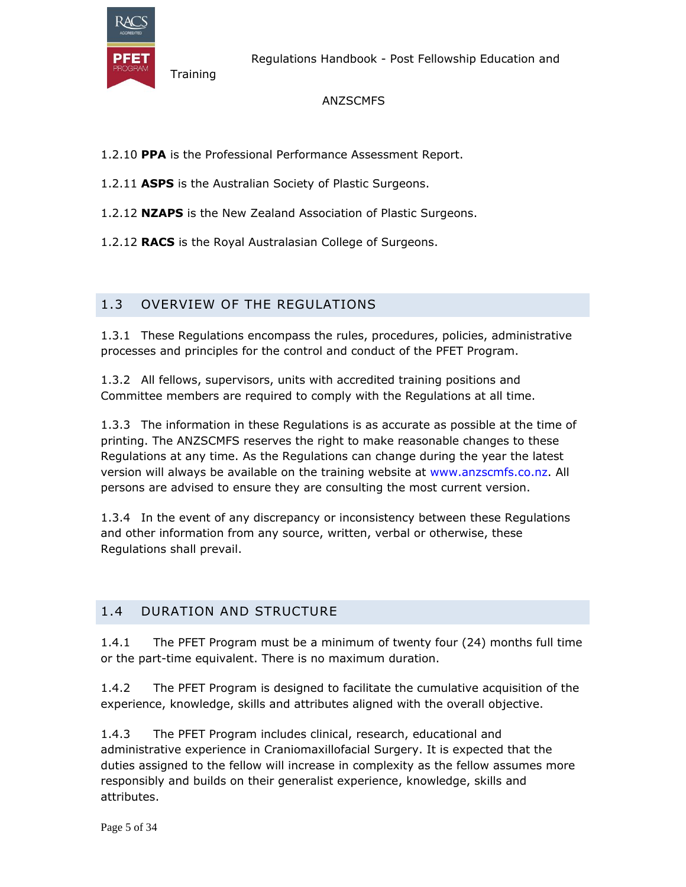

Regulations Handbook - Post Fellowship Education and

#### ANZSCMFS

- 1.2.10 **PPA** is the Professional Performance Assessment Report.
- 1.2.11 **ASPS** is the Australian Society of Plastic Surgeons.
- 1.2.12 **NZAPS** is the New Zealand Association of Plastic Surgeons.
- 1.2.12 **RACS** is the Royal Australasian College of Surgeons.

# 1.3 OVERVIEW OF THE REGULATIONS

1.3.1 These Regulations encompass the rules, procedures, policies, administrative processes and principles for the control and conduct of the PFET Program.

1.3.2 All fellows, supervisors, units with accredited training positions and Committee members are required to comply with the Regulations at all time.

1.3.3 The information in these Regulations is as accurate as possible at the time of printing. The ANZSCMFS reserves the right to make reasonable changes to these Regulations at any time. As the Regulations can change during the year the latest version will always be available on the training website at www.anzscmfs.co.nz. All persons are advised to ensure they are consulting the most current version.

1.3.4 In the event of any discrepancy or inconsistency between these Regulations and other information from any source, written, verbal or otherwise, these Regulations shall prevail.

# 1.4 DURATION AND STRUCTURE

1.4.1 The PFET Program must be a minimum of twenty four (24) months full time or the part-time equivalent. There is no maximum duration.

1.4.2 The PFET Program is designed to facilitate the cumulative acquisition of the experience, knowledge, skills and attributes aligned with the overall objective.

1.4.3 The PFET Program includes clinical, research, educational and administrative experience in Craniomaxillofacial Surgery. It is expected that the duties assigned to the fellow will increase in complexity as the fellow assumes more responsibly and builds on their generalist experience, knowledge, skills and attributes.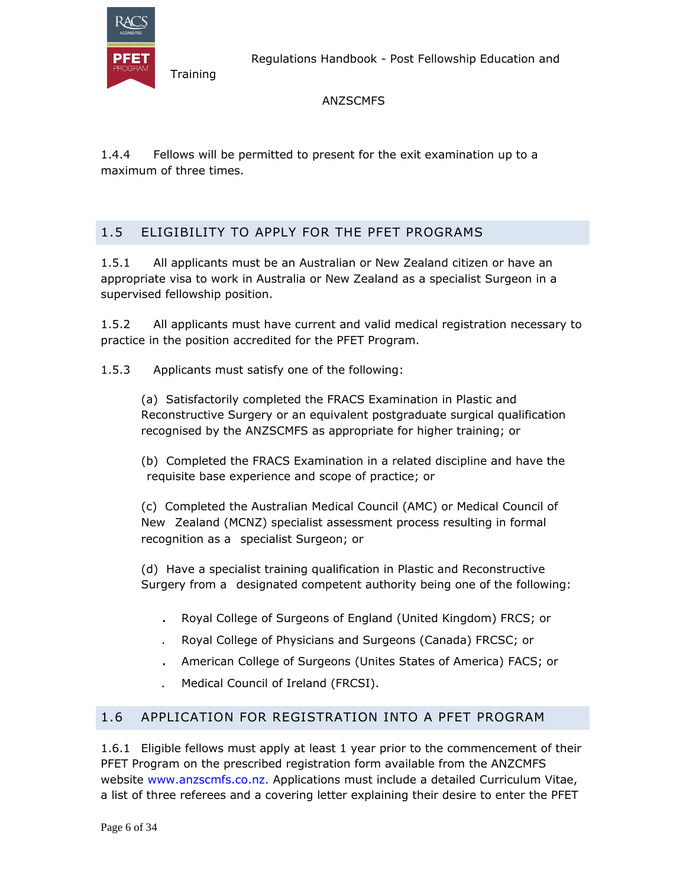

Regulations Handbook - Post Fellowship Education and

ANZSCMFS

1.4.4 Fellows will be permitted to present for the exit examination up to a maximum of three times.

# 1.5 ELIGIBILITY TO APPLY FOR THE PFET PROGRAMS

1.5.1 All applicants must be an Australian or New Zealand citizen or have an appropriate visa to work in Australia or New Zealand as a specialist Surgeon in a supervised fellowship position.

1.5.2 All applicants must have current and valid medical registration necessary to practice in the position accredited for the PFET Program.

1.5.3 Applicants must satisfy one of the following:

(a) Satisfactorily completed the FRACS Examination in Plastic and Reconstructive Surgery or an equivalent postgraduate surgical qualification recognised by the ANZSCMFS as appropriate for higher training; or

(b) Completed the FRACS Examination in a related discipline and have the requisite base experience and scope of practice; or

(c) Completed the Australian Medical Council (AMC) or Medical Council of New Zealand (MCNZ) specialist assessment process resulting in formal recognition as a specialist Surgeon; or

(d) Have a specialist training qualification in Plastic and Reconstructive Surgery from a designated competent authority being one of the following:

- . Royal College of Surgeons of England (United Kingdom) FRCS; or
- . Royal College of Physicians and Surgeons (Canada) FRCSC; or
- . American College of Surgeons (Unites States of America) FACS; or
- . Medical Council of Ireland (FRCSI).

# 1.6 APPLICATION FOR REGISTRATION INTO A PFET PROGRAM

1.6.1 Eligible fellows must apply at least 1 year prior to the commencement of their PFET Program on the prescribed registration form available from the ANZCMFS website www.anzscmfs.co.nz. Applications must include a detailed Curriculum Vitae, a list of three referees and a covering letter explaining their desire to enter the PFET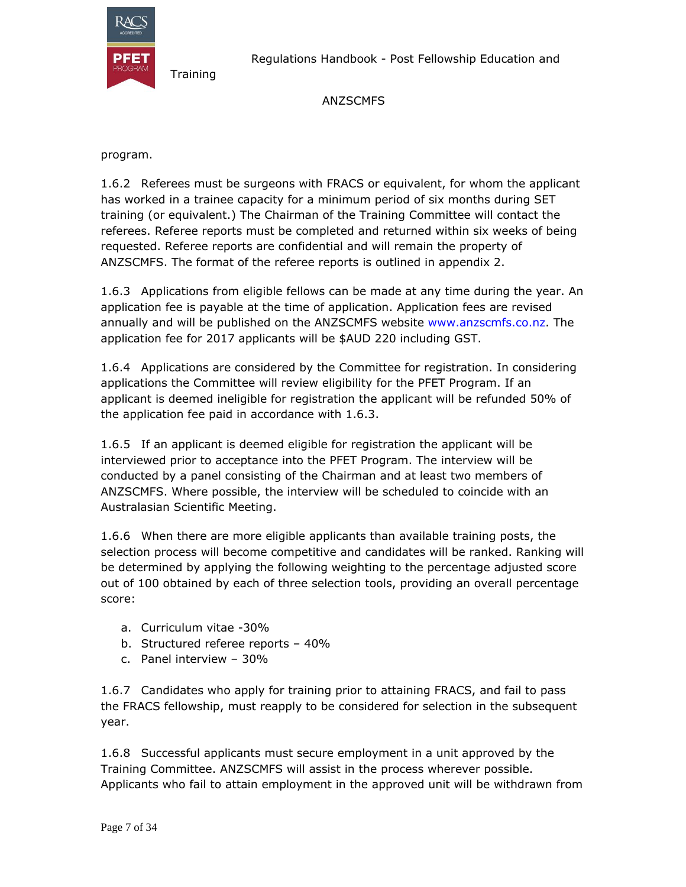

Regulations Handbook - Post Fellowship Education and

#### ANZSCMFS

program.

1.6.2 Referees must be surgeons with FRACS or equivalent, for whom the applicant has worked in a trainee capacity for a minimum period of six months during SET training (or equivalent.) The Chairman of the Training Committee will contact the referees. Referee reports must be completed and returned within six weeks of being requested. Referee reports are confidential and will remain the property of ANZSCMFS. The format of the referee reports is outlined in appendix 2.

1.6.3 Applications from eligible fellows can be made at any time during the year. An application fee is payable at the time of application. Application fees are revised annually and will be published on the ANZSCMFS website www.anzscmfs.co.nz. The application fee for 2017 applicants will be \$AUD 220 including GST.

1.6.4 Applications are considered by the Committee for registration. In considering applications the Committee will review eligibility for the PFET Program. If an applicant is deemed ineligible for registration the applicant will be refunded 50% of the application fee paid in accordance with 1.6.3.

1.6.5 If an applicant is deemed eligible for registration the applicant will be interviewed prior to acceptance into the PFET Program. The interview will be conducted by a panel consisting of the Chairman and at least two members of ANZSCMFS. Where possible, the interview will be scheduled to coincide with an Australasian Scientific Meeting.

1.6.6 When there are more eligible applicants than available training posts, the selection process will become competitive and candidates will be ranked. Ranking will be determined by applying the following weighting to the percentage adjusted score out of 100 obtained by each of three selection tools, providing an overall percentage score:

- a. Curriculum vitae -30%
- b. Structured referee reports 40%
- c. Panel interview 30%

1.6.7 Candidates who apply for training prior to attaining FRACS, and fail to pass the FRACS fellowship, must reapply to be considered for selection in the subsequent year.

1.6.8 Successful applicants must secure employment in a unit approved by the Training Committee. ANZSCMFS will assist in the process wherever possible. Applicants who fail to attain employment in the approved unit will be withdrawn from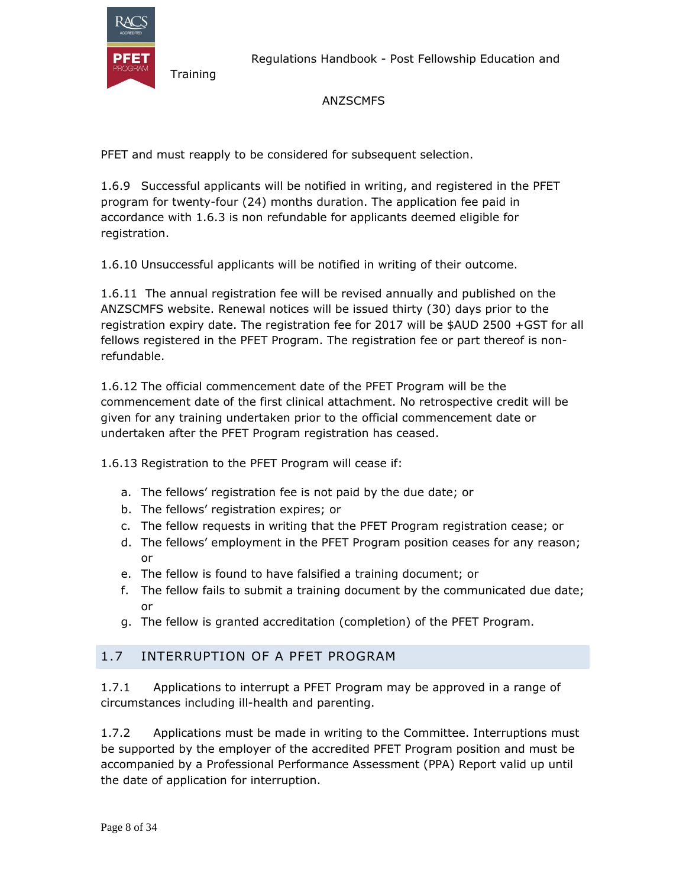

**Training** 

#### ANZSCMFS

PFET and must reapply to be considered for subsequent selection.

1.6.9 Successful applicants will be notified in writing, and registered in the PFET program for twenty-four (24) months duration. The application fee paid in accordance with 1.6.3 is non refundable for applicants deemed eligible for registration.

1.6.10 Unsuccessful applicants will be notified in writing of their outcome.

1.6.11 The annual registration fee will be revised annually and published on the ANZSCMFS website. Renewal notices will be issued thirty (30) days prior to the registration expiry date. The registration fee for 2017 will be \$AUD 2500 +GST for all fellows registered in the PFET Program. The registration fee or part thereof is nonrefundable.

1.6.12 The official commencement date of the PFET Program will be the commencement date of the first clinical attachment. No retrospective credit will be given for any training undertaken prior to the official commencement date or undertaken after the PFET Program registration has ceased.

1.6.13 Registration to the PFET Program will cease if:

- a. The fellows' registration fee is not paid by the due date; or
- b. The fellows' registration expires; or
- c. The fellow requests in writing that the PFET Program registration cease; or
- d. The fellows' employment in the PFET Program position ceases for any reason; or
- e. The fellow is found to have falsified a training document; or
- f. The fellow fails to submit a training document by the communicated due date; or
- g. The fellow is granted accreditation (completion) of the PFET Program.

#### 1.7 INTERRUPTION OF A PFET PROGRAM

1.7.1 Applications to interrupt a PFET Program may be approved in a range of circumstances including ill-health and parenting.

1.7.2 Applications must be made in writing to the Committee. Interruptions must be supported by the employer of the accredited PFET Program position and must be accompanied by a Professional Performance Assessment (PPA) Report valid up until the date of application for interruption.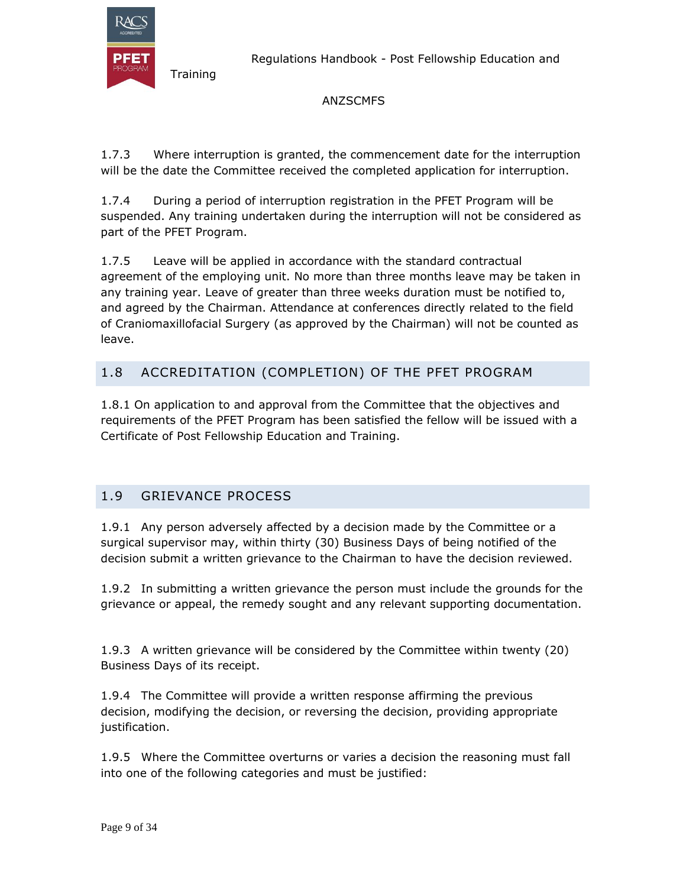

Regulations Handbook - Post Fellowship Education and

#### ANZSCMFS

1.7.3 Where interruption is granted, the commencement date for the interruption will be the date the Committee received the completed application for interruption.

1.7.4 During a period of interruption registration in the PFET Program will be suspended. Any training undertaken during the interruption will not be considered as part of the PFET Program.

1.7.5 Leave will be applied in accordance with the standard contractual agreement of the employing unit. No more than three months leave may be taken in any training year. Leave of greater than three weeks duration must be notified to, and agreed by the Chairman. Attendance at conferences directly related to the field of Craniomaxillofacial Surgery (as approved by the Chairman) will not be counted as leave.

# 1.8 ACCREDITATION (COMPLETION) OF THE PFET PROGRAM

1.8.1 On application to and approval from the Committee that the objectives and requirements of the PFET Program has been satisfied the fellow will be issued with a Certificate of Post Fellowship Education and Training.

# 1.9 GRIEVANCE PROCESS

1.9.1 Any person adversely affected by a decision made by the Committee or a surgical supervisor may, within thirty (30) Business Days of being notified of the decision submit a written grievance to the Chairman to have the decision reviewed.

1.9.2 In submitting a written grievance the person must include the grounds for the grievance or appeal, the remedy sought and any relevant supporting documentation.

1.9.3 A written grievance will be considered by the Committee within twenty (20) Business Days of its receipt.

1.9.4 The Committee will provide a written response affirming the previous decision, modifying the decision, or reversing the decision, providing appropriate justification.

1.9.5 Where the Committee overturns or varies a decision the reasoning must fall into one of the following categories and must be justified: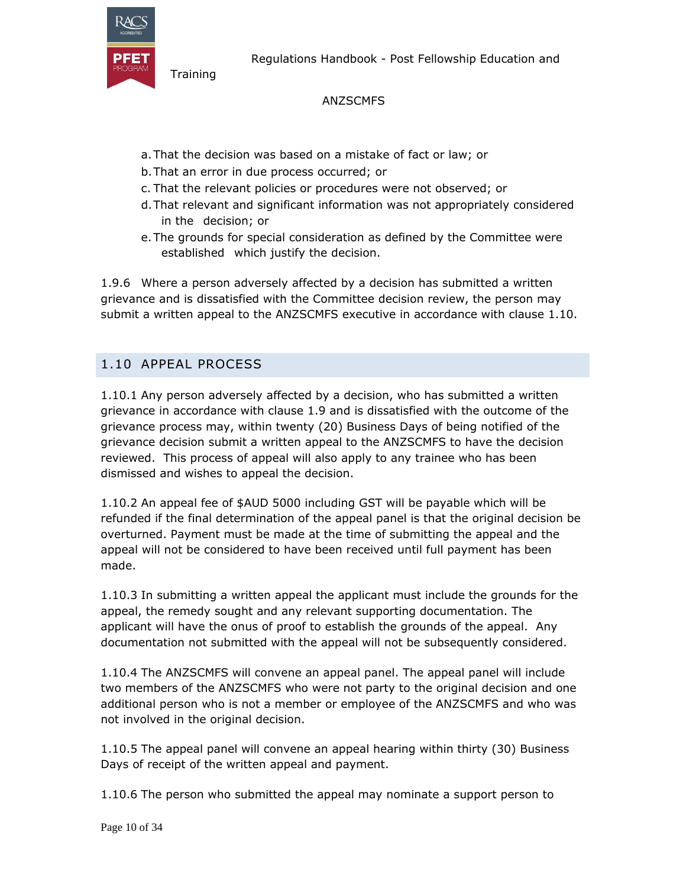

Regulations Handbook - Post Fellowship Education and

#### ANZSCMFS

- a.That the decision was based on a mistake of fact or law; or
- b.That an error in due process occurred; or
- c. That the relevant policies or procedures were not observed; or
- d.That relevant and significant information was not appropriately considered in the decision; or
- e.The grounds for special consideration as defined by the Committee were established which justify the decision.

1.9.6 Where a person adversely affected by a decision has submitted a written grievance and is dissatisfied with the Committee decision review, the person may submit a written appeal to the ANZSCMFS executive in accordance with clause 1.10.

# 1.10 APPEAL PROCESS

1.10.1 Any person adversely affected by a decision, who has submitted a written grievance in accordance with clause 1.9 and is dissatisfied with the outcome of the grievance process may, within twenty (20) Business Days of being notified of the grievance decision submit a written appeal to the ANZSCMFS to have the decision reviewed. This process of appeal will also apply to any trainee who has been dismissed and wishes to appeal the decision.

1.10.2 An appeal fee of \$AUD 5000 including GST will be payable which will be refunded if the final determination of the appeal panel is that the original decision be overturned. Payment must be made at the time of submitting the appeal and the appeal will not be considered to have been received until full payment has been made.

1.10.3 In submitting a written appeal the applicant must include the grounds for the appeal, the remedy sought and any relevant supporting documentation. The applicant will have the onus of proof to establish the grounds of the appeal. Any documentation not submitted with the appeal will not be subsequently considered.

1.10.4 The ANZSCMFS will convene an appeal panel. The appeal panel will include two members of the ANZSCMFS who were not party to the original decision and one additional person who is not a member or employee of the ANZSCMFS and who was not involved in the original decision.

1.10.5 The appeal panel will convene an appeal hearing within thirty (30) Business Days of receipt of the written appeal and payment.

1.10.6 The person who submitted the appeal may nominate a support person to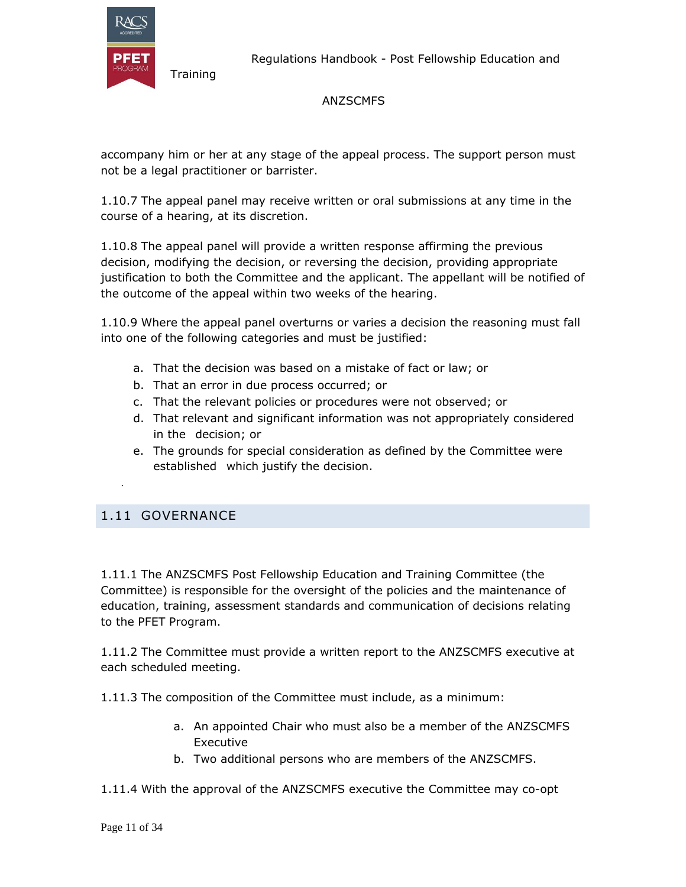

Regulations Handbook - Post Fellowship Education and

#### ANZSCMFS

accompany him or her at any stage of the appeal process. The support person must not be a legal practitioner or barrister.

1.10.7 The appeal panel may receive written or oral submissions at any time in the course of a hearing, at its discretion.

1.10.8 The appeal panel will provide a written response affirming the previous decision, modifying the decision, or reversing the decision, providing appropriate justification to both the Committee and the applicant. The appellant will be notified of the outcome of the appeal within two weeks of the hearing.

1.10.9 Where the appeal panel overturns or varies a decision the reasoning must fall into one of the following categories and must be justified:

- a. That the decision was based on a mistake of fact or law; or
- b. That an error in due process occurred; or
- c. That the relevant policies or procedures were not observed; or
- d. That relevant and significant information was not appropriately considered in the decision; or
- e. The grounds for special consideration as defined by the Committee were established which justify the decision.

#### 1.11 GOVERNANCE

.

1.11.1 The ANZSCMFS Post Fellowship Education and Training Committee (the Committee) is responsible for the oversight of the policies and the maintenance of education, training, assessment standards and communication of decisions relating to the PFET Program.

1.11.2 The Committee must provide a written report to the ANZSCMFS executive at each scheduled meeting.

1.11.3 The composition of the Committee must include, as a minimum:

- a. An appointed Chair who must also be a member of the ANZSCMFS Executive
- b. Two additional persons who are members of the ANZSCMFS.
- 1.11.4 With the approval of the ANZSCMFS executive the Committee may co-opt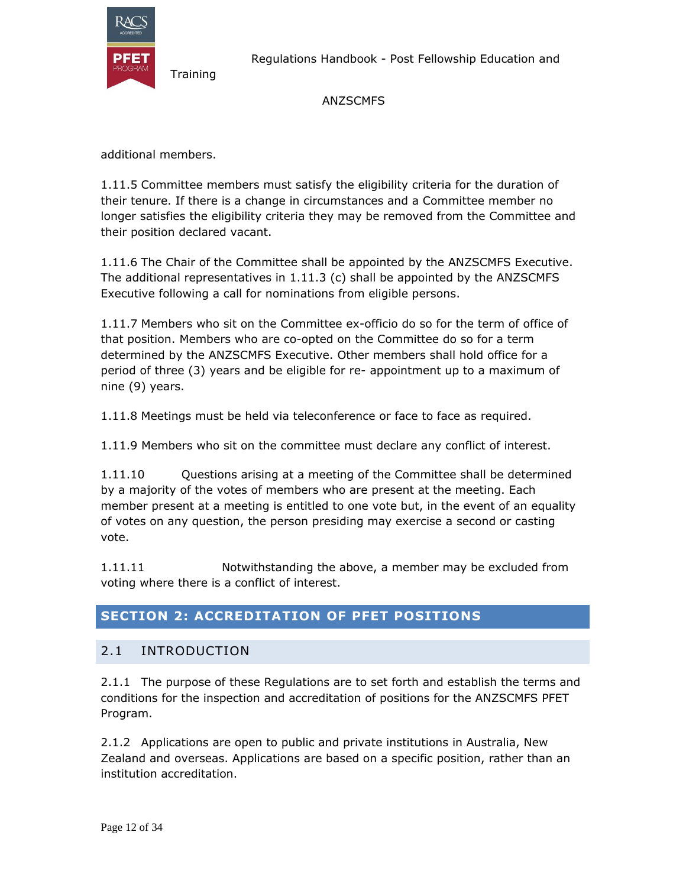

#### ANZSCMFS

additional members.

**Training** 

1.11.5 Committee members must satisfy the eligibility criteria for the duration of their tenure. If there is a change in circumstances and a Committee member no longer satisfies the eligibility criteria they may be removed from the Committee and their position declared vacant.

1.11.6 The Chair of the Committee shall be appointed by the ANZSCMFS Executive. The additional representatives in 1.11.3 (c) shall be appointed by the ANZSCMFS Executive following a call for nominations from eligible persons.

1.11.7 Members who sit on the Committee ex-officio do so for the term of office of that position. Members who are co-opted on the Committee do so for a term determined by the ANZSCMFS Executive. Other members shall hold office for a period of three (3) years and be eligible for re- appointment up to a maximum of nine (9) years.

1.11.8 Meetings must be held via teleconference or face to face as required.

1.11.9 Members who sit on the committee must declare any conflict of interest.

1.11.10 Questions arising at a meeting of the Committee shall be determined by a majority of the votes of members who are present at the meeting. Each member present at a meeting is entitled to one vote but, in the event of an equality of votes on any question, the person presiding may exercise a second or casting vote.

1.11.11 Notwithstanding the above, a member may be excluded from voting where there is a conflict of interest.

# **SECTION 2: ACCREDITATION OF PFET POSITIONS**

# 2.1 INTRODUCTION

2.1.1 The purpose of these Regulations are to set forth and establish the terms and conditions for the inspection and accreditation of positions for the ANZSCMFS PFET Program.

2.1.2 Applications are open to public and private institutions in Australia, New Zealand and overseas. Applications are based on a specific position, rather than an institution accreditation.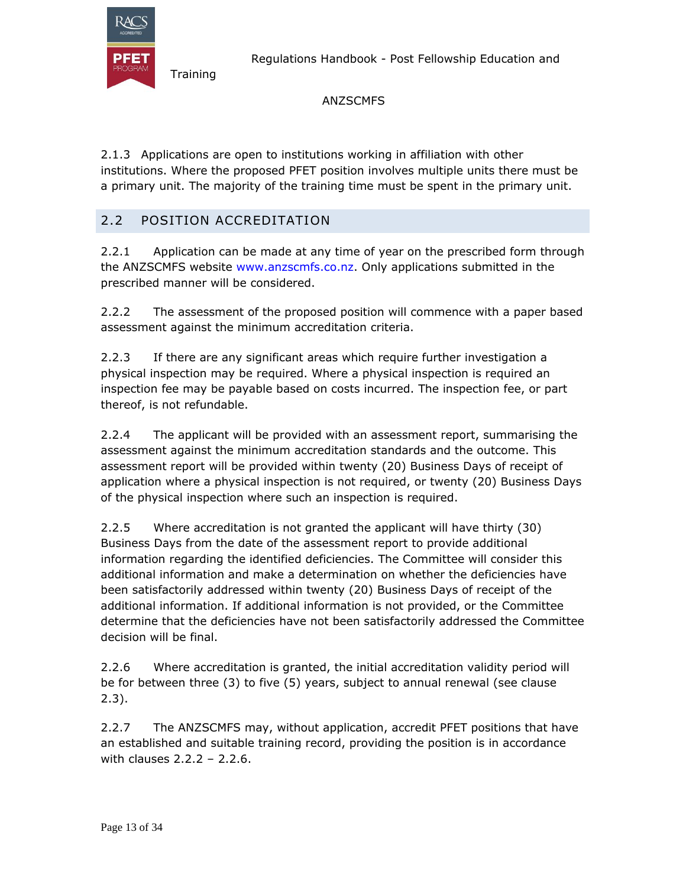

#### ANZSCMFS

2.1.3 Applications are open to institutions working in affiliation with other institutions. Where the proposed PFET position involves multiple units there must be a primary unit. The majority of the training time must be spent in the primary unit.

# 2.2 POSITION ACCREDITATION

**Training** 

2.2.1 Application can be made at any time of year on the prescribed form through the ANZSCMFS website www.anzscmfs.co.nz. Only applications submitted in the prescribed manner will be considered.

2.2.2 The assessment of the proposed position will commence with a paper based assessment against the minimum accreditation criteria.

2.2.3 If there are any significant areas which require further investigation a physical inspection may be required. Where a physical inspection is required an inspection fee may be payable based on costs incurred. The inspection fee, or part thereof, is not refundable.

2.2.4 The applicant will be provided with an assessment report, summarising the assessment against the minimum accreditation standards and the outcome. This assessment report will be provided within twenty (20) Business Days of receipt of application where a physical inspection is not required, or twenty (20) Business Days of the physical inspection where such an inspection is required.

2.2.5 Where accreditation is not granted the applicant will have thirty (30) Business Days from the date of the assessment report to provide additional information regarding the identified deficiencies. The Committee will consider this additional information and make a determination on whether the deficiencies have been satisfactorily addressed within twenty (20) Business Days of receipt of the additional information. If additional information is not provided, or the Committee determine that the deficiencies have not been satisfactorily addressed the Committee decision will be final.

2.2.6 Where accreditation is granted, the initial accreditation validity period will be for between three (3) to five (5) years, subject to annual renewal (see clause 2.3).

2.2.7 The ANZSCMFS may, without application, accredit PFET positions that have an established and suitable training record, providing the position is in accordance with clauses 2.2.2 – 2.2.6.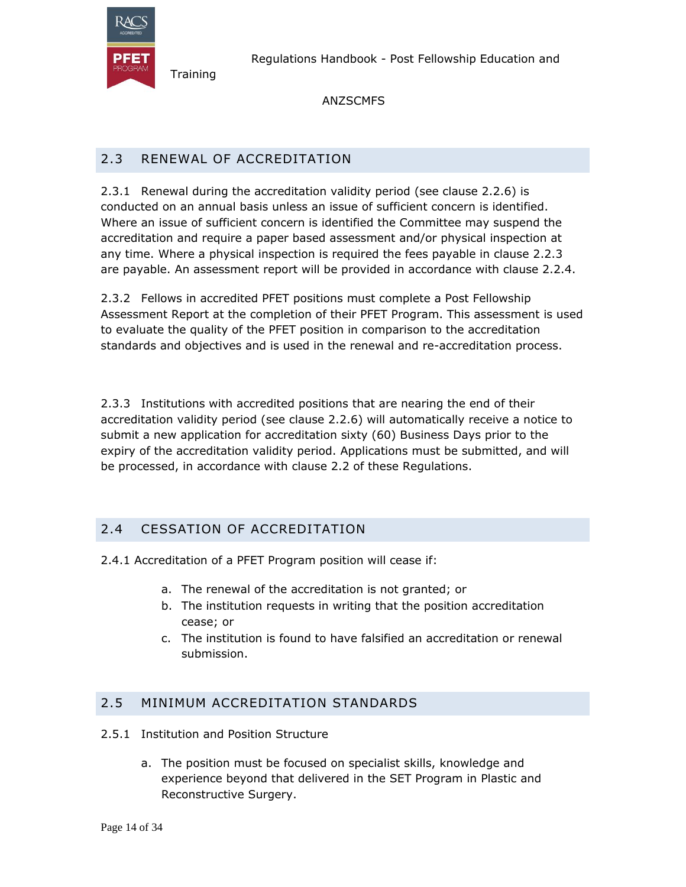

#### ANZSCMFS

# 2.3 RENEWAL OF ACCREDITATION

2.3.1 Renewal during the accreditation validity period (see clause 2.2.6) is conducted on an annual basis unless an issue of sufficient concern is identified. Where an issue of sufficient concern is identified the Committee may suspend the accreditation and require a paper based assessment and/or physical inspection at any time. Where a physical inspection is required the fees payable in clause 2.2.3 are payable. An assessment report will be provided in accordance with clause 2.2.4.

2.3.2 Fellows in accredited PFET positions must complete a Post Fellowship Assessment Report at the completion of their PFET Program. This assessment is used to evaluate the quality of the PFET position in comparison to the accreditation standards and objectives and is used in the renewal and re-accreditation process.

2.3.3 Institutions with accredited positions that are nearing the end of their accreditation validity period (see clause 2.2.6) will automatically receive a notice to submit a new application for accreditation sixty (60) Business Days prior to the expiry of the accreditation validity period. Applications must be submitted, and will be processed, in accordance with clause 2.2 of these Regulations.

# 2.4 CESSATION OF ACCREDITATION

- 2.4.1 Accreditation of a PFET Program position will cease if:
	- a. The renewal of the accreditation is not granted; or
	- b. The institution requests in writing that the position accreditation cease; or
	- c. The institution is found to have falsified an accreditation or renewal submission.

# 2.5 MINIMUM ACCREDITATION STANDARDS

- 2.5.1 Institution and Position Structure
	- a. The position must be focused on specialist skills, knowledge and experience beyond that delivered in the SET Program in Plastic and Reconstructive Surgery.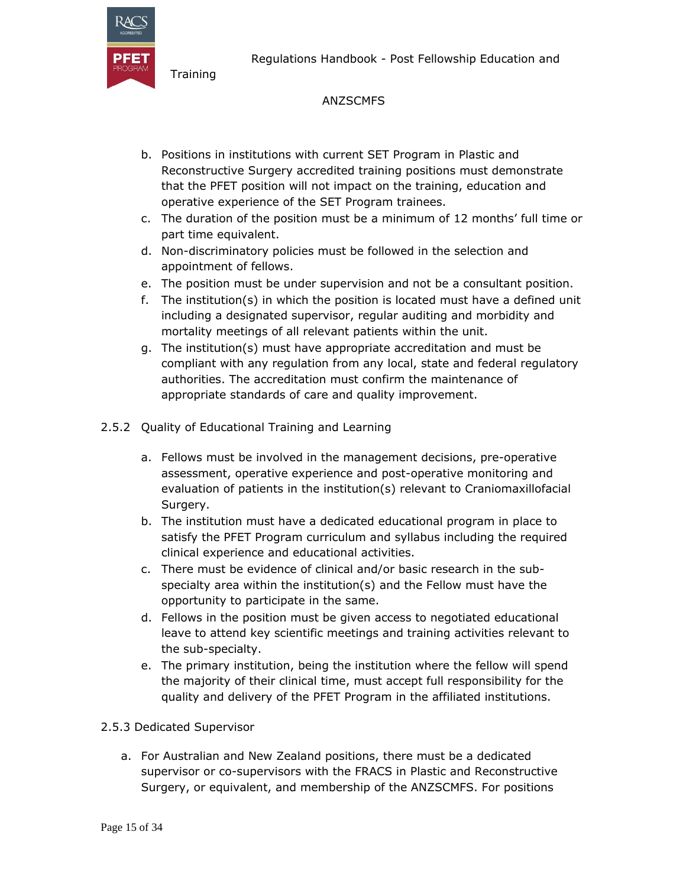

#### ANZSCMFS

- b. Positions in institutions with current SET Program in Plastic and Reconstructive Surgery accredited training positions must demonstrate that the PFET position will not impact on the training, education and operative experience of the SET Program trainees.
- c. The duration of the position must be a minimum of 12 months' full time or part time equivalent.
- d. Non-discriminatory policies must be followed in the selection and appointment of fellows.
- e. The position must be under supervision and not be a consultant position.
- f. The institution(s) in which the position is located must have a defined unit including a designated supervisor, regular auditing and morbidity and mortality meetings of all relevant patients within the unit.
- g. The institution(s) must have appropriate accreditation and must be compliant with any regulation from any local, state and federal regulatory authorities. The accreditation must confirm the maintenance of appropriate standards of care and quality improvement.
- 2.5.2 Quality of Educational Training and Learning
	- a. Fellows must be involved in the management decisions, pre-operative assessment, operative experience and post-operative monitoring and evaluation of patients in the institution(s) relevant to Craniomaxillofacial Surgery.
	- b. The institution must have a dedicated educational program in place to satisfy the PFET Program curriculum and syllabus including the required clinical experience and educational activities.
	- c. There must be evidence of clinical and/or basic research in the subspecialty area within the institution(s) and the Fellow must have the opportunity to participate in the same.
	- d. Fellows in the position must be given access to negotiated educational leave to attend key scientific meetings and training activities relevant to the sub-specialty.
	- e. The primary institution, being the institution where the fellow will spend the majority of their clinical time, must accept full responsibility for the quality and delivery of the PFET Program in the affiliated institutions.

#### 2.5.3 Dedicated Supervisor

a. For Australian and New Zealand positions, there must be a dedicated supervisor or co-supervisors with the FRACS in Plastic and Reconstructive Surgery, or equivalent, and membership of the ANZSCMFS. For positions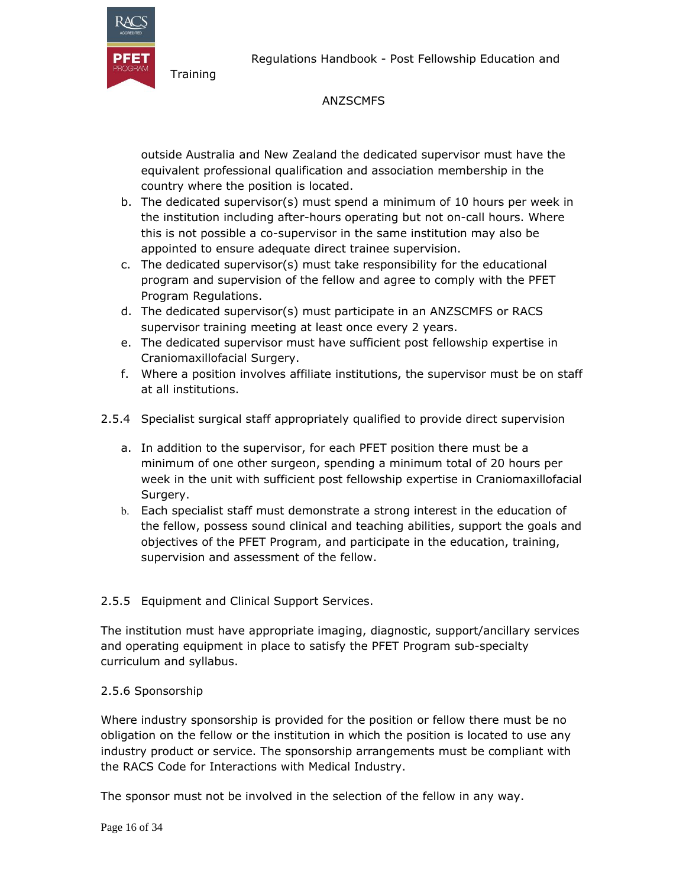



#### ANZSCMFS

outside Australia and New Zealand the dedicated supervisor must have the equivalent professional qualification and association membership in the country where the position is located.

- b. The dedicated supervisor(s) must spend a minimum of 10 hours per week in the institution including after-hours operating but not on-call hours. Where this is not possible a co-supervisor in the same institution may also be appointed to ensure adequate direct trainee supervision.
- c. The dedicated supervisor(s) must take responsibility for the educational program and supervision of the fellow and agree to comply with the PFET Program Regulations.
- d. The dedicated supervisor(s) must participate in an ANZSCMFS or RACS supervisor training meeting at least once every 2 years.
- e. The dedicated supervisor must have sufficient post fellowship expertise in Craniomaxillofacial Surgery.
- f. Where a position involves affiliate institutions, the supervisor must be on staff at all institutions.
- 2.5.4 Specialist surgical staff appropriately qualified to provide direct supervision
	- a. In addition to the supervisor, for each PFET position there must be a minimum of one other surgeon, spending a minimum total of 20 hours per week in the unit with sufficient post fellowship expertise in Craniomaxillofacial Surgery.
	- b. Each specialist staff must demonstrate a strong interest in the education of the fellow, possess sound clinical and teaching abilities, support the goals and objectives of the PFET Program, and participate in the education, training, supervision and assessment of the fellow.

#### 2.5.5 Equipment and Clinical Support Services.

The institution must have appropriate imaging, diagnostic, support/ancillary services and operating equipment in place to satisfy the PFET Program sub-specialty curriculum and syllabus.

#### 2.5.6 Sponsorship

Where industry sponsorship is provided for the position or fellow there must be no obligation on the fellow or the institution in which the position is located to use any industry product or service. The sponsorship arrangements must be compliant with the RACS Code for Interactions with Medical Industry.

The sponsor must not be involved in the selection of the fellow in any way.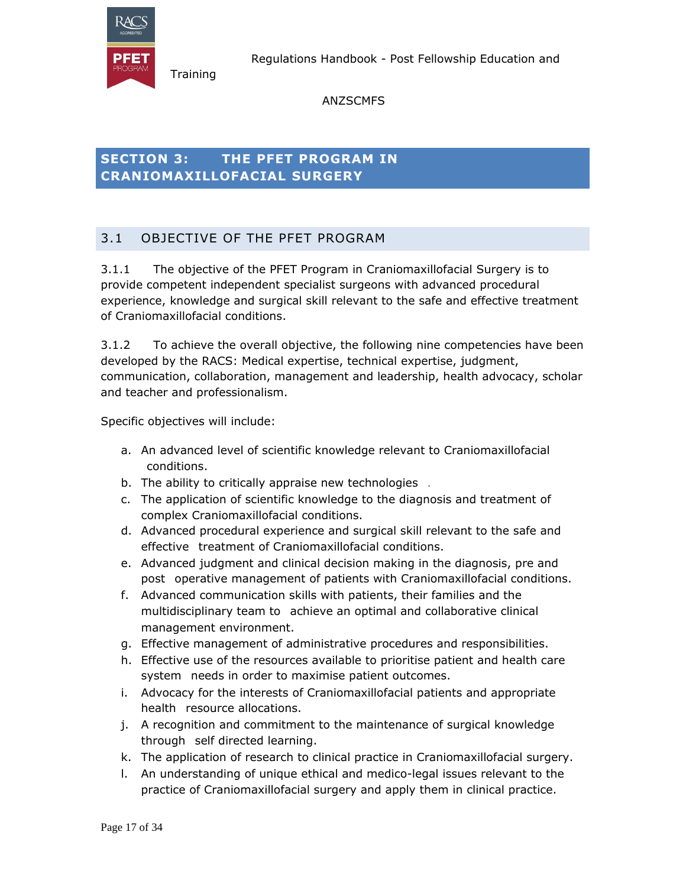

Regulations Handbook - Post Fellowship Education and

### ANZSCMFS

# **SECTION 3: THE PFET PROGRAM IN CRANIOMAXILLOFACIAL SURGERY**

# 3.1 OBJECTIVE OF THE PFET PROGRAM

3.1.1 The objective of the PFET Program in Craniomaxillofacial Surgery is to provide competent independent specialist surgeons with advanced procedural experience, knowledge and surgical skill relevant to the safe and effective treatment of Craniomaxillofacial conditions.

3.1.2 To achieve the overall objective, the following nine competencies have been developed by the RACS: Medical expertise, technical expertise, judgment, communication, collaboration, management and leadership, health advocacy, scholar and teacher and professionalism.

Specific objectives will include:

- a. An advanced level of scientific knowledge relevant to Craniomaxillofacial conditions.
- b. The ability to critically appraise new technologies .
- c. The application of scientific knowledge to the diagnosis and treatment of complex Craniomaxillofacial conditions.
- d. Advanced procedural experience and surgical skill relevant to the safe and effective treatment of Craniomaxillofacial conditions.
- e. Advanced judgment and clinical decision making in the diagnosis, pre and post operative management of patients with Craniomaxillofacial conditions.
- f. Advanced communication skills with patients, their families and the multidisciplinary team to achieve an optimal and collaborative clinical management environment.
- g. Effective management of administrative procedures and responsibilities.
- h. Effective use of the resources available to prioritise patient and health care system needs in order to maximise patient outcomes.
- i. Advocacy for the interests of Craniomaxillofacial patients and appropriate health resource allocations.
- j. A recognition and commitment to the maintenance of surgical knowledge through self directed learning.
- k. The application of research to clinical practice in Craniomaxillofacial surgery.
- l. An understanding of unique ethical and medico-legal issues relevant to the practice of Craniomaxillofacial surgery and apply them in clinical practice.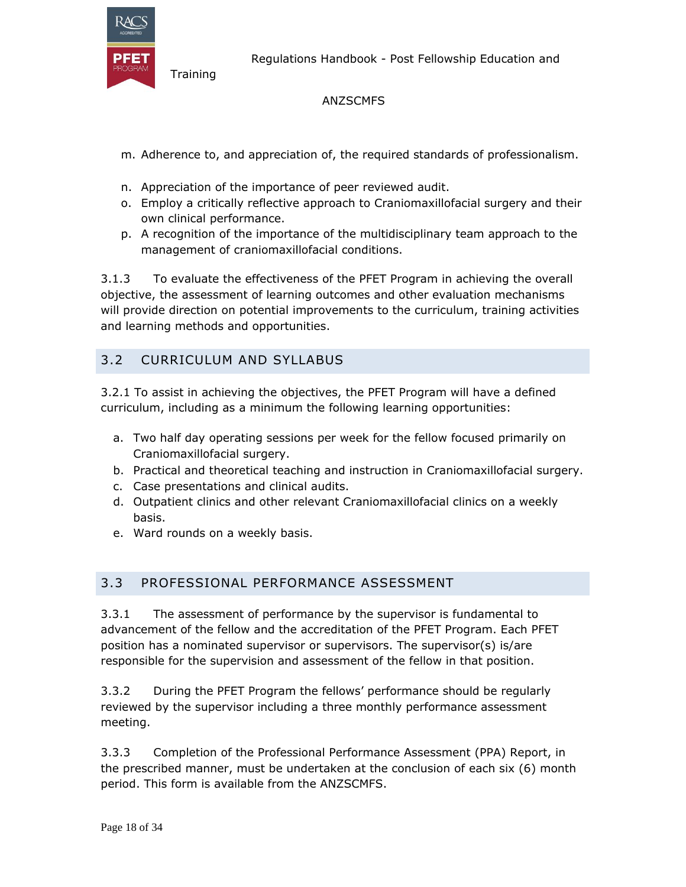

Regulations Handbook - Post Fellowship Education and

#### ANZSCMFS

- m. Adherence to, and appreciation of, the required standards of professionalism.
- n. Appreciation of the importance of peer reviewed audit.
- o. Employ a critically reflective approach to Craniomaxillofacial surgery and their own clinical performance.
- p. A recognition of the importance of the multidisciplinary team approach to the management of craniomaxillofacial conditions.

3.1.3 To evaluate the effectiveness of the PFET Program in achieving the overall objective, the assessment of learning outcomes and other evaluation mechanisms will provide direction on potential improvements to the curriculum, training activities and learning methods and opportunities.

### 3.2 CURRICULUM AND SYLLABUS

3.2.1 To assist in achieving the objectives, the PFET Program will have a defined curriculum, including as a minimum the following learning opportunities:

- a. Two half day operating sessions per week for the fellow focused primarily on Craniomaxillofacial surgery.
- b. Practical and theoretical teaching and instruction in Craniomaxillofacial surgery.
- c. Case presentations and clinical audits.
- d. Outpatient clinics and other relevant Craniomaxillofacial clinics on a weekly basis.
- e. Ward rounds on a weekly basis.

#### 3.3 PROFESSIONAL PERFORMANCE ASSESSMENT

3.3.1 The assessment of performance by the supervisor is fundamental to advancement of the fellow and the accreditation of the PFET Program. Each PFET position has a nominated supervisor or supervisors. The supervisor(s) is/are responsible for the supervision and assessment of the fellow in that position.

3.3.2 During the PFET Program the fellows' performance should be regularly reviewed by the supervisor including a three monthly performance assessment meeting.

3.3.3 Completion of the Professional Performance Assessment (PPA) Report, in the prescribed manner, must be undertaken at the conclusion of each six (6) month period. This form is available from the ANZSCMFS.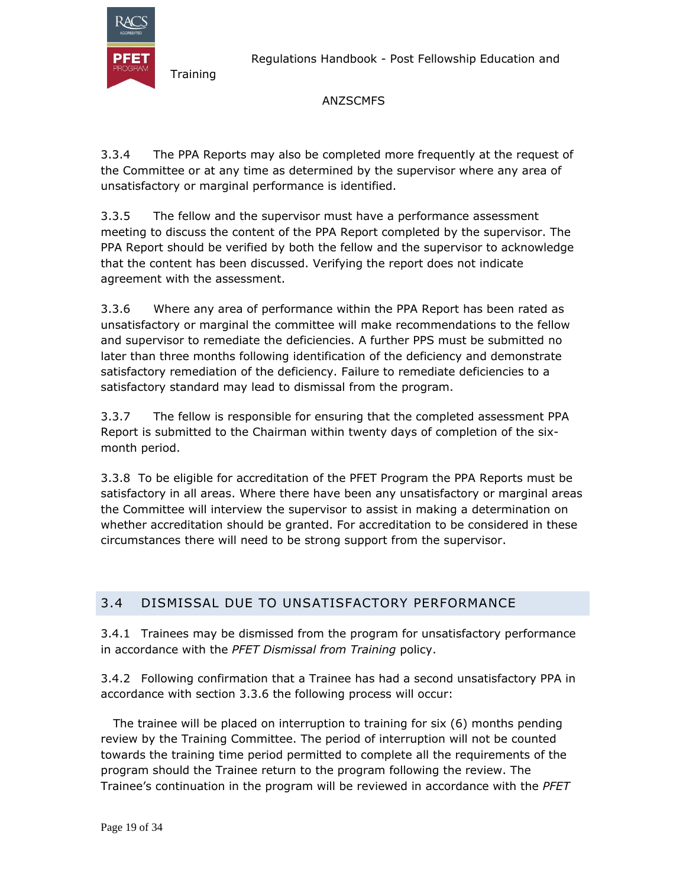

Regulations Handbook - Post Fellowship Education and

#### ANZSCMFS

3.3.4 The PPA Reports may also be completed more frequently at the request of the Committee or at any time as determined by the supervisor where any area of unsatisfactory or marginal performance is identified.

3.3.5 The fellow and the supervisor must have a performance assessment meeting to discuss the content of the PPA Report completed by the supervisor. The PPA Report should be verified by both the fellow and the supervisor to acknowledge that the content has been discussed. Verifying the report does not indicate agreement with the assessment.

3.3.6 Where any area of performance within the PPA Report has been rated as unsatisfactory or marginal the committee will make recommendations to the fellow and supervisor to remediate the deficiencies. A further PPS must be submitted no later than three months following identification of the deficiency and demonstrate satisfactory remediation of the deficiency. Failure to remediate deficiencies to a satisfactory standard may lead to dismissal from the program.

3.3.7 The fellow is responsible for ensuring that the completed assessment PPA Report is submitted to the Chairman within twenty days of completion of the sixmonth period.

3.3.8 To be eligible for accreditation of the PFET Program the PPA Reports must be satisfactory in all areas. Where there have been any unsatisfactory or marginal areas the Committee will interview the supervisor to assist in making a determination on whether accreditation should be granted. For accreditation to be considered in these circumstances there will need to be strong support from the supervisor.

# 3.4 DISMISSAL DUE TO UNSATISFACTORY PERFORMANCE

3.4.1 Trainees may be dismissed from the program for unsatisfactory performance in accordance with the *PFET Dismissal from Training* policy.

3.4.2 Following confirmation that a Trainee has had a second unsatisfactory PPA in accordance with section 3.3.6 the following process will occur:

The trainee will be placed on interruption to training for six (6) months pending review by the Training Committee. The period of interruption will not be counted towards the training time period permitted to complete all the requirements of the program should the Trainee return to the program following the review. The Trainee's continuation in the program will be reviewed in accordance with the *PFET*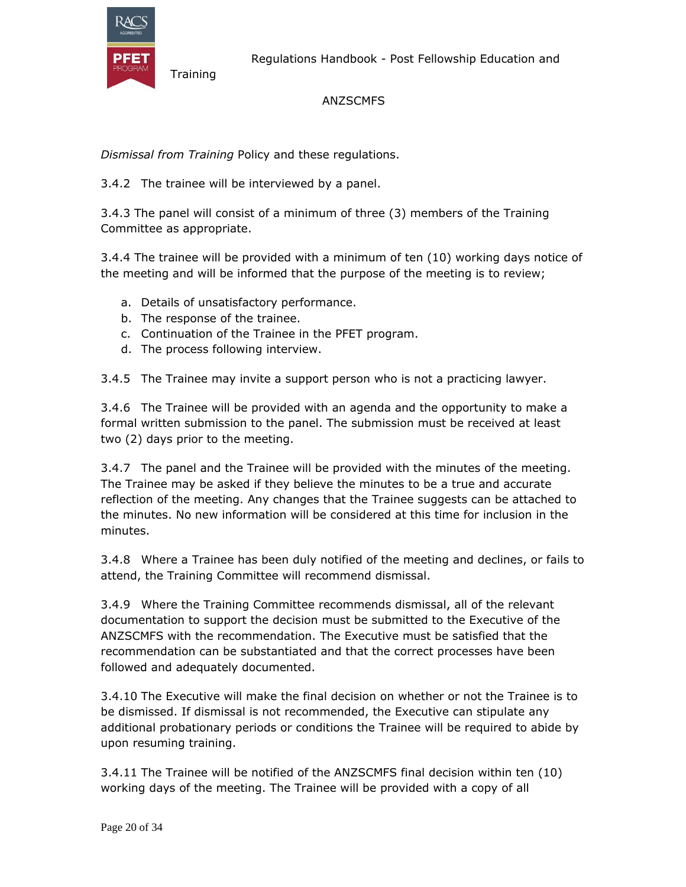

#### ANZSCMFS

*Dismissal from Training* Policy and these regulations.

3.4.2 The trainee will be interviewed by a panel.

3.4.3 The panel will consist of a minimum of three (3) members of the Training Committee as appropriate.

3.4.4 The trainee will be provided with a minimum of ten (10) working days notice of the meeting and will be informed that the purpose of the meeting is to review;

- a. Details of unsatisfactory performance.
- b. The response of the trainee.
- c. Continuation of the Trainee in the PFET program.
- d. The process following interview.

3.4.5 The Trainee may invite a support person who is not a practicing lawyer.

3.4.6 The Trainee will be provided with an agenda and the opportunity to make a formal written submission to the panel. The submission must be received at least two (2) days prior to the meeting.

3.4.7 The panel and the Trainee will be provided with the minutes of the meeting. The Trainee may be asked if they believe the minutes to be a true and accurate reflection of the meeting. Any changes that the Trainee suggests can be attached to the minutes. No new information will be considered at this time for inclusion in the minutes.

3.4.8 Where a Trainee has been duly notified of the meeting and declines, or fails to attend, the Training Committee will recommend dismissal.

3.4.9 Where the Training Committee recommends dismissal, all of the relevant documentation to support the decision must be submitted to the Executive of the ANZSCMFS with the recommendation. The Executive must be satisfied that the recommendation can be substantiated and that the correct processes have been followed and adequately documented.

3.4.10 The Executive will make the final decision on whether or not the Trainee is to be dismissed. If dismissal is not recommended, the Executive can stipulate any additional probationary periods or conditions the Trainee will be required to abide by upon resuming training.

3.4.11 The Trainee will be notified of the ANZSCMFS final decision within ten (10) working days of the meeting. The Trainee will be provided with a copy of all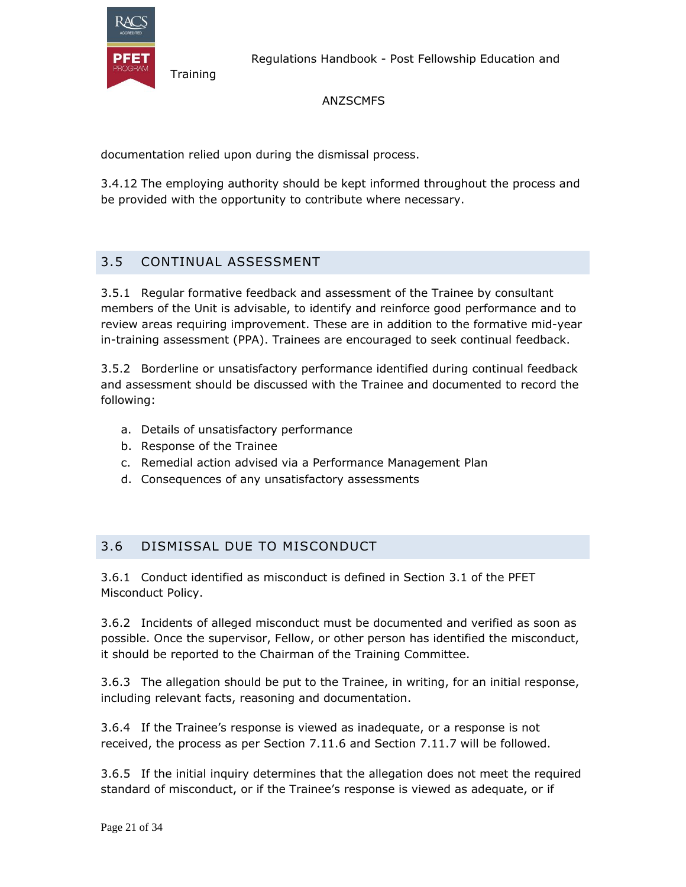

#### ANZSCMFS

documentation relied upon during the dismissal process.

3.4.12 The employing authority should be kept informed throughout the process and be provided with the opportunity to contribute where necessary.

# 3.5 CONTINUAL ASSESSMENT

**Training** 

3.5.1 Regular formative feedback and assessment of the Trainee by consultant members of the Unit is advisable, to identify and reinforce good performance and to review areas requiring improvement. These are in addition to the formative mid-year in-training assessment (PPA). Trainees are encouraged to seek continual feedback.

3.5.2 Borderline or unsatisfactory performance identified during continual feedback and assessment should be discussed with the Trainee and documented to record the following:

- a. Details of unsatisfactory performance
- b. Response of the Trainee
- c. Remedial action advised via a Performance Management Plan
- d. Consequences of any unsatisfactory assessments

#### 3.6 DISMISSAL DUE TO MISCONDUCT

3.6.1 Conduct identified as misconduct is defined in Section 3.1 of the PFET Misconduct Policy.

3.6.2 Incidents of alleged misconduct must be documented and verified as soon as possible. Once the supervisor, Fellow, or other person has identified the misconduct, it should be reported to the Chairman of the Training Committee.

3.6.3 The allegation should be put to the Trainee, in writing, for an initial response, including relevant facts, reasoning and documentation.

3.6.4 If the Trainee's response is viewed as inadequate, or a response is not received, the process as per Section 7.11.6 and Section 7.11.7 will be followed.

3.6.5 If the initial inquiry determines that the allegation does not meet the required standard of misconduct, or if the Trainee's response is viewed as adequate, or if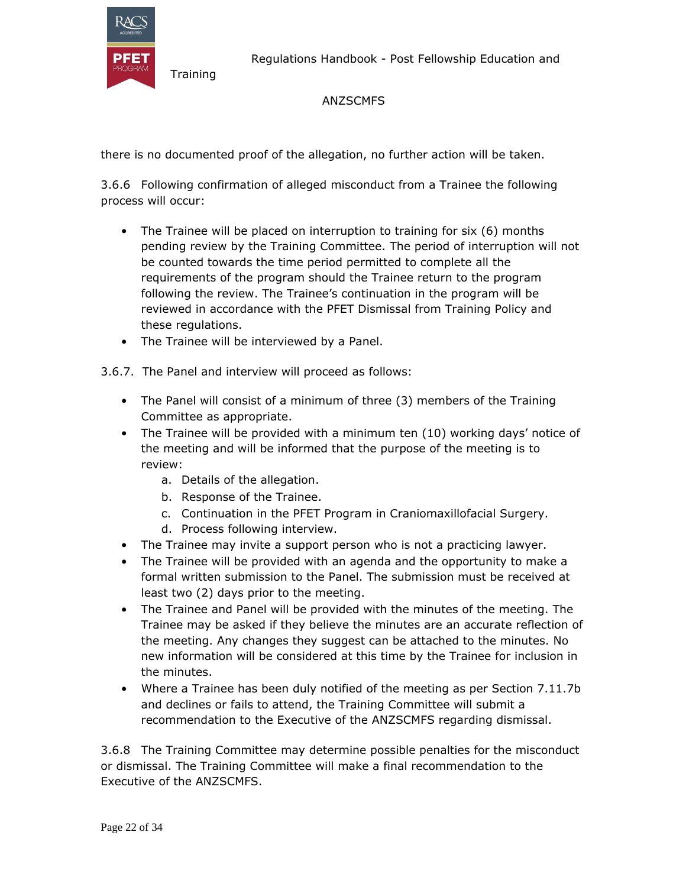

Regulations Handbook - Post Fellowship Education and

# ANZSCMFS

there is no documented proof of the allegation, no further action will be taken.

3.6.6 Following confirmation of alleged misconduct from a Trainee the following process will occur:

- The Trainee will be placed on interruption to training for six (6) months pending review by the Training Committee. The period of interruption will not be counted towards the time period permitted to complete all the requirements of the program should the Trainee return to the program following the review. The Trainee's continuation in the program will be reviewed in accordance with the PFET Dismissal from Training Policy and these regulations.
- The Trainee will be interviewed by a Panel.
- 3.6.7. The Panel and interview will proceed as follows:
	- The Panel will consist of a minimum of three (3) members of the Training Committee as appropriate.
	- The Trainee will be provided with a minimum ten (10) working days' notice of the meeting and will be informed that the purpose of the meeting is to review:
		- a. Details of the allegation.
		- b. Response of the Trainee.
		- c. Continuation in the PFET Program in Craniomaxillofacial Surgery.
		- d. Process following interview.
	- The Trainee may invite a support person who is not a practicing lawyer.
	- The Trainee will be provided with an agenda and the opportunity to make a formal written submission to the Panel. The submission must be received at least two (2) days prior to the meeting.
	- The Trainee and Panel will be provided with the minutes of the meeting. The Trainee may be asked if they believe the minutes are an accurate reflection of the meeting. Any changes they suggest can be attached to the minutes. No new information will be considered at this time by the Trainee for inclusion in the minutes.
	- Where a Trainee has been duly notified of the meeting as per Section 7.11.7b and declines or fails to attend, the Training Committee will submit a recommendation to the Executive of the ANZSCMFS regarding dismissal.

3.6.8 The Training Committee may determine possible penalties for the misconduct or dismissal. The Training Committee will make a final recommendation to the Executive of the ANZSCMFS.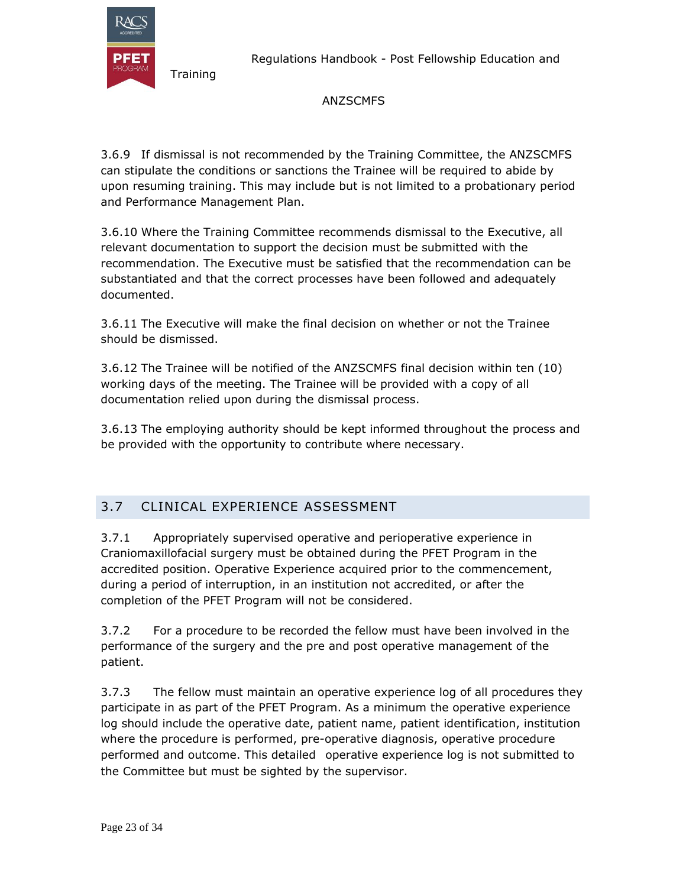

Regulations Handbook - Post Fellowship Education and

### ANZSCMFS

3.6.9 If dismissal is not recommended by the Training Committee, the ANZSCMFS can stipulate the conditions or sanctions the Trainee will be required to abide by upon resuming training. This may include but is not limited to a probationary period and Performance Management Plan.

3.6.10 Where the Training Committee recommends dismissal to the Executive, all relevant documentation to support the decision must be submitted with the recommendation. The Executive must be satisfied that the recommendation can be substantiated and that the correct processes have been followed and adequately documented.

3.6.11 The Executive will make the final decision on whether or not the Trainee should be dismissed.

3.6.12 The Trainee will be notified of the ANZSCMFS final decision within ten (10) working days of the meeting. The Trainee will be provided with a copy of all documentation relied upon during the dismissal process.

3.6.13 The employing authority should be kept informed throughout the process and be provided with the opportunity to contribute where necessary.

# 3.7 CLINICAL EXPERIENCE ASSESSMENT

3.7.1 Appropriately supervised operative and perioperative experience in Craniomaxillofacial surgery must be obtained during the PFET Program in the accredited position. Operative Experience acquired prior to the commencement, during a period of interruption, in an institution not accredited, or after the completion of the PFET Program will not be considered.

3.7.2 For a procedure to be recorded the fellow must have been involved in the performance of the surgery and the pre and post operative management of the patient.

3.7.3 The fellow must maintain an operative experience log of all procedures they participate in as part of the PFET Program. As a minimum the operative experience log should include the operative date, patient name, patient identification, institution where the procedure is performed, pre-operative diagnosis, operative procedure performed and outcome. This detailed operative experience log is not submitted to the Committee but must be sighted by the supervisor.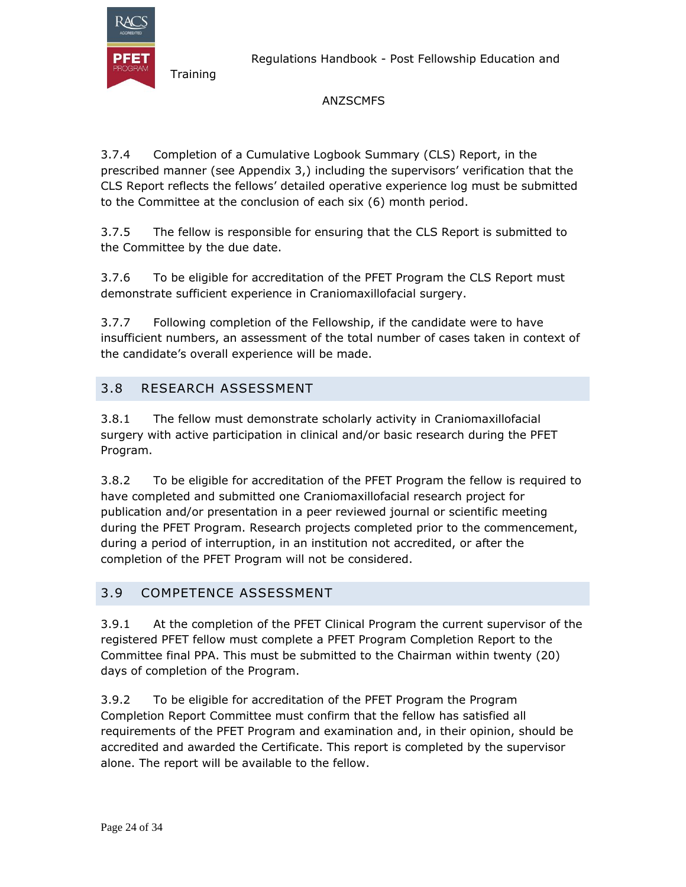

Regulations Handbook - Post Fellowship Education and

### ANZSCMFS

3.7.4 Completion of a Cumulative Logbook Summary (CLS) Report, in the prescribed manner (see Appendix 3,) including the supervisors' verification that the CLS Report reflects the fellows' detailed operative experience log must be submitted to the Committee at the conclusion of each six (6) month period.

3.7.5 The fellow is responsible for ensuring that the CLS Report is submitted to the Committee by the due date.

3.7.6 To be eligible for accreditation of the PFET Program the CLS Report must demonstrate sufficient experience in Craniomaxillofacial surgery.

3.7.7 Following completion of the Fellowship, if the candidate were to have insufficient numbers, an assessment of the total number of cases taken in context of the candidate's overall experience will be made.

# 3.8 RESEARCH ASSESSMENT

3.8.1 The fellow must demonstrate scholarly activity in Craniomaxillofacial surgery with active participation in clinical and/or basic research during the PFET Program.

3.8.2 To be eligible for accreditation of the PFET Program the fellow is required to have completed and submitted one Craniomaxillofacial research project for publication and/or presentation in a peer reviewed journal or scientific meeting during the PFET Program. Research projects completed prior to the commencement, during a period of interruption, in an institution not accredited, or after the completion of the PFET Program will not be considered.

#### 3.9 COMPETENCE ASSESSMENT

3.9.1 At the completion of the PFET Clinical Program the current supervisor of the registered PFET fellow must complete a PFET Program Completion Report to the Committee final PPA. This must be submitted to the Chairman within twenty (20) days of completion of the Program.

3.9.2 To be eligible for accreditation of the PFET Program the Program Completion Report Committee must confirm that the fellow has satisfied all requirements of the PFET Program and examination and, in their opinion, should be accredited and awarded the Certificate. This report is completed by the supervisor alone. The report will be available to the fellow.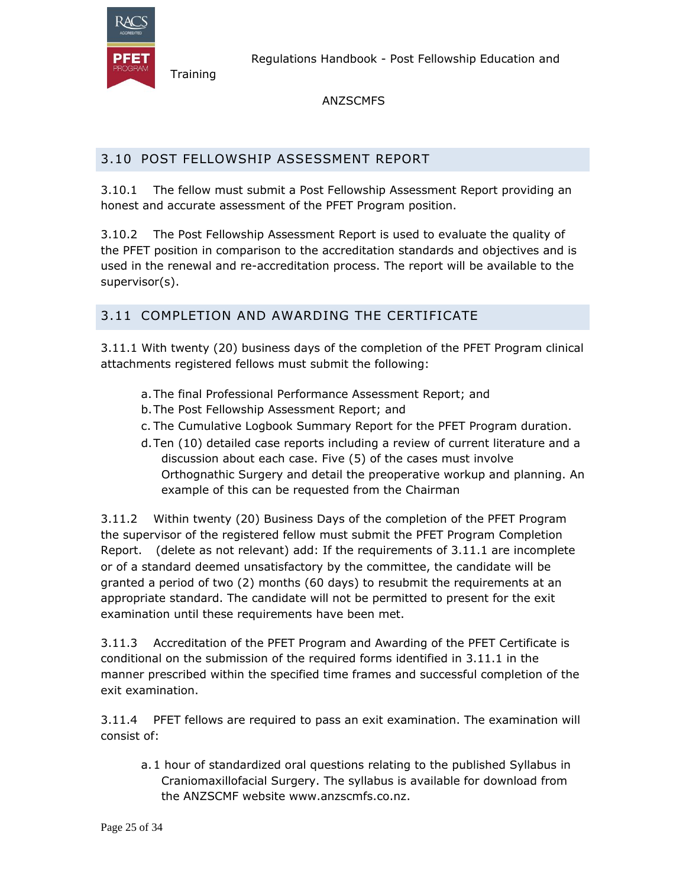

ANZSCMFS

# 3.10 POST FELLOWSHIP ASSESSMENT REPORT

3.10.1 The fellow must submit a Post Fellowship Assessment Report providing an honest and accurate assessment of the PFET Program position.

3.10.2 The Post Fellowship Assessment Report is used to evaluate the quality of the PFET position in comparison to the accreditation standards and objectives and is used in the renewal and re-accreditation process. The report will be available to the supervisor(s).

# 3.11 COMPLETION AND AWARDING THE CERTIFICATE

3.11.1 With twenty (20) business days of the completion of the PFET Program clinical attachments registered fellows must submit the following:

- a.The final Professional Performance Assessment Report; and
- b.The Post Fellowship Assessment Report; and
- c. The Cumulative Logbook Summary Report for the PFET Program duration.
- d.Ten (10) detailed case reports including a review of current literature and a discussion about each case. Five (5) of the cases must involve Orthognathic Surgery and detail the preoperative workup and planning. An example of this can be requested from the Chairman

3.11.2 Within twenty (20) Business Days of the completion of the PFET Program the supervisor of the registered fellow must submit the PFET Program Completion Report. (delete as not relevant) add: If the requirements of 3.11.1 are incomplete or of a standard deemed unsatisfactory by the committee, the candidate will be granted a period of two (2) months (60 days) to resubmit the requirements at an appropriate standard. The candidate will not be permitted to present for the exit examination until these requirements have been met.

3.11.3 Accreditation of the PFET Program and Awarding of the PFET Certificate is conditional on the submission of the required forms identified in 3.11.1 in the manner prescribed within the specified time frames and successful completion of the exit examination.

3.11.4 PFET fellows are required to pass an exit examination. The examination will consist of:

a.1 hour of standardized oral questions relating to the published Syllabus in Craniomaxillofacial Surgery. The syllabus is available for download from the ANZSCMF website www.anzscmfs.co.nz.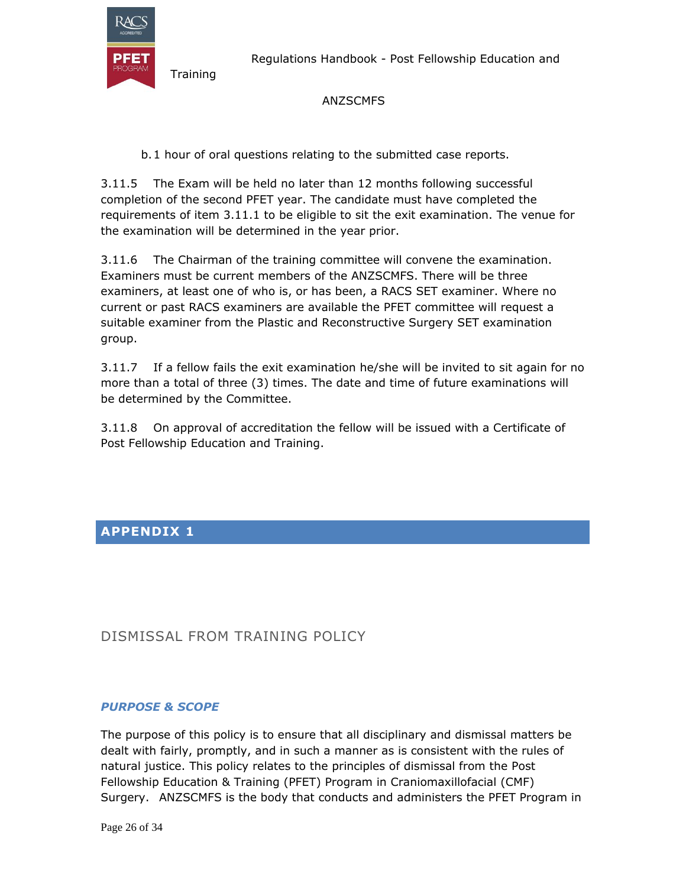

Regulations Handbook - Post Fellowship Education and

#### ANZSCMFS

b.1 hour of oral questions relating to the submitted case reports.

3.11.5 The Exam will be held no later than 12 months following successful completion of the second PFET year. The candidate must have completed the requirements of item 3.11.1 to be eligible to sit the exit examination. The venue for the examination will be determined in the year prior.

3.11.6 The Chairman of the training committee will convene the examination. Examiners must be current members of the ANZSCMFS. There will be three examiners, at least one of who is, or has been, a RACS SET examiner. Where no current or past RACS examiners are available the PFET committee will request a suitable examiner from the Plastic and Reconstructive Surgery SET examination group.

3.11.7 If a fellow fails the exit examination he/she will be invited to sit again for no more than a total of three (3) times. The date and time of future examinations will be determined by the Committee.

3.11.8 On approval of accreditation the fellow will be issued with a Certificate of Post Fellowship Education and Training.

# **APPENDIX 1**

# DISMISSAL FROM TRAINING POLICY

#### *PURPOSE & SCOPE*

The purpose of this policy is to ensure that all disciplinary and dismissal matters be dealt with fairly, promptly, and in such a manner as is consistent with the rules of natural justice. This policy relates to the principles of dismissal from the Post Fellowship Education & Training (PFET) Program in Craniomaxillofacial (CMF) Surgery. ANZSCMFS is the body that conducts and administers the PFET Program in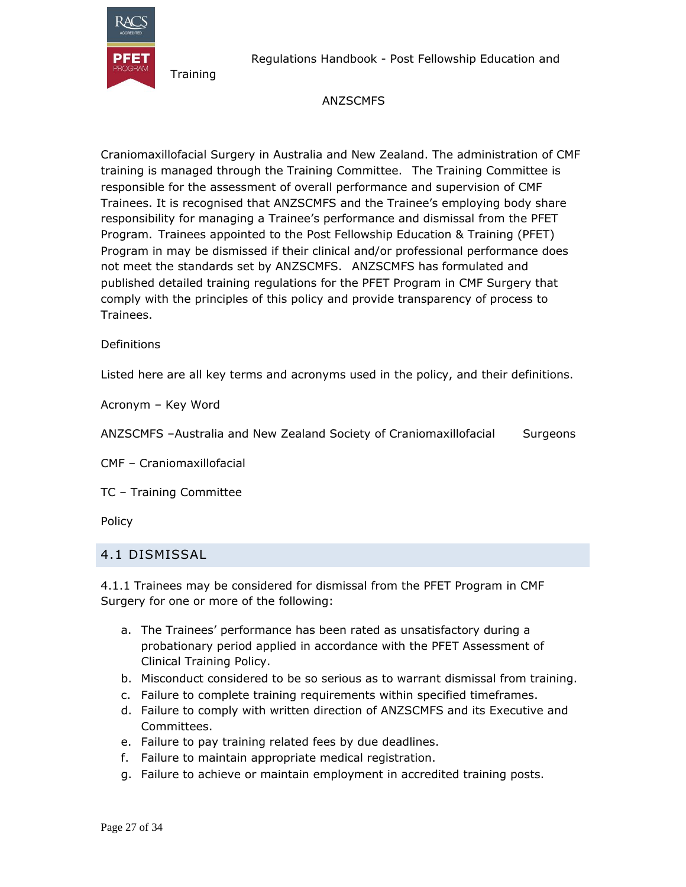

Regulations Handbook - Post Fellowship Education and

#### ANZSCMFS

Craniomaxillofacial Surgery in Australia and New Zealand. The administration of CMF training is managed through the Training Committee. The Training Committee is responsible for the assessment of overall performance and supervision of CMF Trainees. It is recognised that ANZSCMFS and the Trainee's employing body share responsibility for managing a Trainee's performance and dismissal from the PFET Program. Trainees appointed to the Post Fellowship Education & Training (PFET) Program in may be dismissed if their clinical and/or professional performance does not meet the standards set by ANZSCMFS. ANZSCMFS has formulated and published detailed training regulations for the PFET Program in CMF Surgery that comply with the principles of this policy and provide transparency of process to Trainees.

#### **Definitions**

Listed here are all key terms and acronyms used in the policy, and their definitions.

Acronym – Key Word

ANZSCMFS –Australia and New Zealand Society of Craniomaxillofacial Surgeons

CMF – Craniomaxillofacial

TC – Training Committee

Policy

#### 4.1 DISMISSAL

4.1.1 Trainees may be considered for dismissal from the PFET Program in CMF Surgery for one or more of the following:

- a. The Trainees' performance has been rated as unsatisfactory during a probationary period applied in accordance with the PFET Assessment of Clinical Training Policy.
- b. Misconduct considered to be so serious as to warrant dismissal from training.
- c. Failure to complete training requirements within specified timeframes.
- d. Failure to comply with written direction of ANZSCMFS and its Executive and Committees.
- e. Failure to pay training related fees by due deadlines.
- f. Failure to maintain appropriate medical registration.
- g. Failure to achieve or maintain employment in accredited training posts.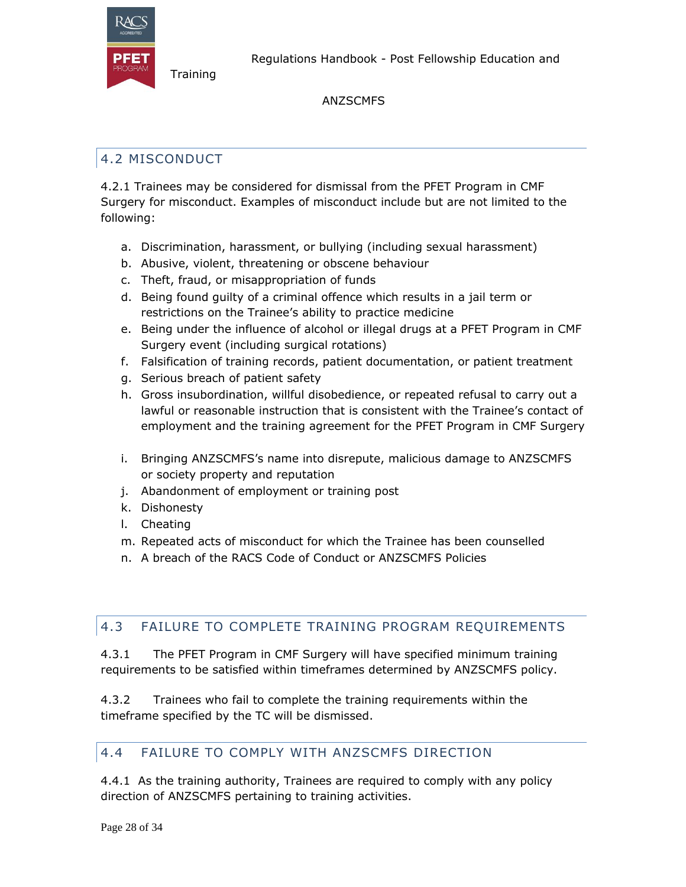

**Training** 

#### ANZSCMFS

# 4.2 MISCONDUCT

4.2.1 Trainees may be considered for dismissal from the PFET Program in CMF Surgery for misconduct. Examples of misconduct include but are not limited to the following:

- a. Discrimination, harassment, or bullying (including sexual harassment)
- b. Abusive, violent, threatening or obscene behaviour
- c. Theft, fraud, or misappropriation of funds
- d. Being found guilty of a criminal offence which results in a jail term or restrictions on the Trainee's ability to practice medicine
- e. Being under the influence of alcohol or illegal drugs at a PFET Program in CMF Surgery event (including surgical rotations)
- f. Falsification of training records, patient documentation, or patient treatment
- g. Serious breach of patient safety
- h. Gross insubordination, willful disobedience, or repeated refusal to carry out a lawful or reasonable instruction that is consistent with the Trainee's contact of employment and the training agreement for the PFET Program in CMF Surgery
- i. Bringing ANZSCMFS's name into disrepute, malicious damage to ANZSCMFS or society property and reputation
- j. Abandonment of employment or training post
- k. Dishonesty
- l. Cheating
- m. Repeated acts of misconduct for which the Trainee has been counselled
- n. A breach of the RACS Code of Conduct or ANZSCMFS Policies

# 4.3 FAILURE TO COMPLETE TRAINING PROGRAM REQUIREMENTS

4.3.1 The PFET Program in CMF Surgery will have specified minimum training requirements to be satisfied within timeframes determined by ANZSCMFS policy.

4.3.2 Trainees who fail to complete the training requirements within the timeframe specified by the TC will be dismissed.

# 4.4 FAILURE TO COMPLY WITH ANZSCMFS DIRECTION

4.4.1 As the training authority, Trainees are required to comply with any policy direction of ANZSCMFS pertaining to training activities.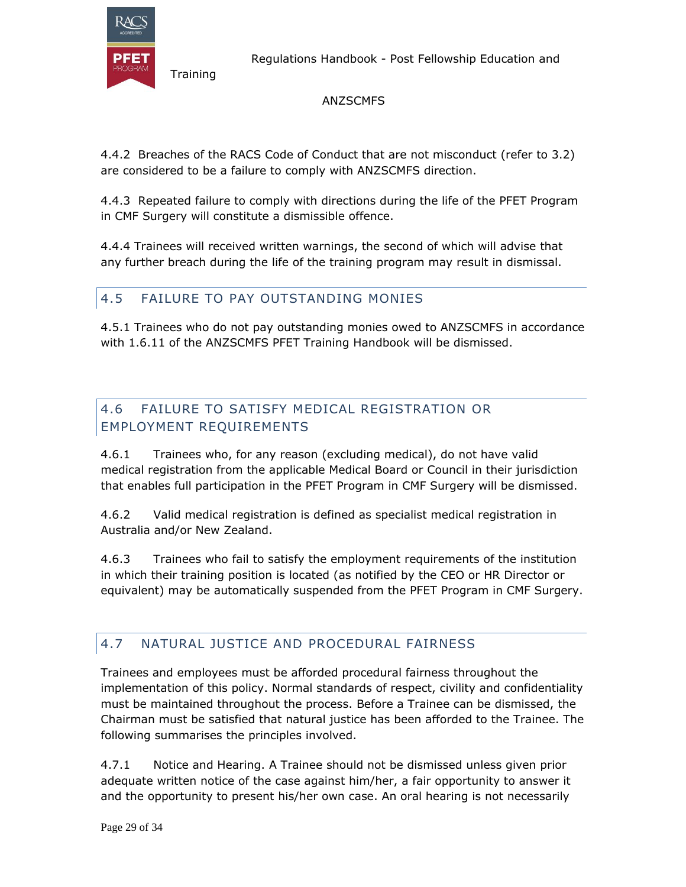

Regulations Handbook - Post Fellowship Education and

### ANZSCMFS

4.4.2 Breaches of the RACS Code of Conduct that are not misconduct (refer to 3.2) are considered to be a failure to comply with ANZSCMFS direction.

4.4.3 Repeated failure to comply with directions during the life of the PFET Program in CMF Surgery will constitute a dismissible offence.

4.4.4 Trainees will received written warnings, the second of which will advise that any further breach during the life of the training program may result in dismissal.

# 4.5 FAILURE TO PAY OUTSTANDING MONIES

4.5.1 Trainees who do not pay outstanding monies owed to ANZSCMFS in accordance with 1.6.11 of the ANZSCMFS PFET Training Handbook will be dismissed.

# 4.6 FAILURE TO SATISFY MEDICAL REGISTRATION OR EMPLOYMENT REQUIREMENTS

4.6.1 Trainees who, for any reason (excluding medical), do not have valid medical registration from the applicable Medical Board or Council in their jurisdiction that enables full participation in the PFET Program in CMF Surgery will be dismissed.

4.6.2 Valid medical registration is defined as specialist medical registration in Australia and/or New Zealand.

4.6.3 Trainees who fail to satisfy the employment requirements of the institution in which their training position is located (as notified by the CEO or HR Director or equivalent) may be automatically suspended from the PFET Program in CMF Surgery.

# 4.7 NATURAL JUSTICE AND PROCEDURAL FAIRNESS

Trainees and employees must be afforded procedural fairness throughout the implementation of this policy. Normal standards of respect, civility and confidentiality must be maintained throughout the process. Before a Trainee can be dismissed, the Chairman must be satisfied that natural justice has been afforded to the Trainee. The following summarises the principles involved.

4.7.1 Notice and Hearing. A Trainee should not be dismissed unless given prior adequate written notice of the case against him/her, a fair opportunity to answer it and the opportunity to present his/her own case. An oral hearing is not necessarily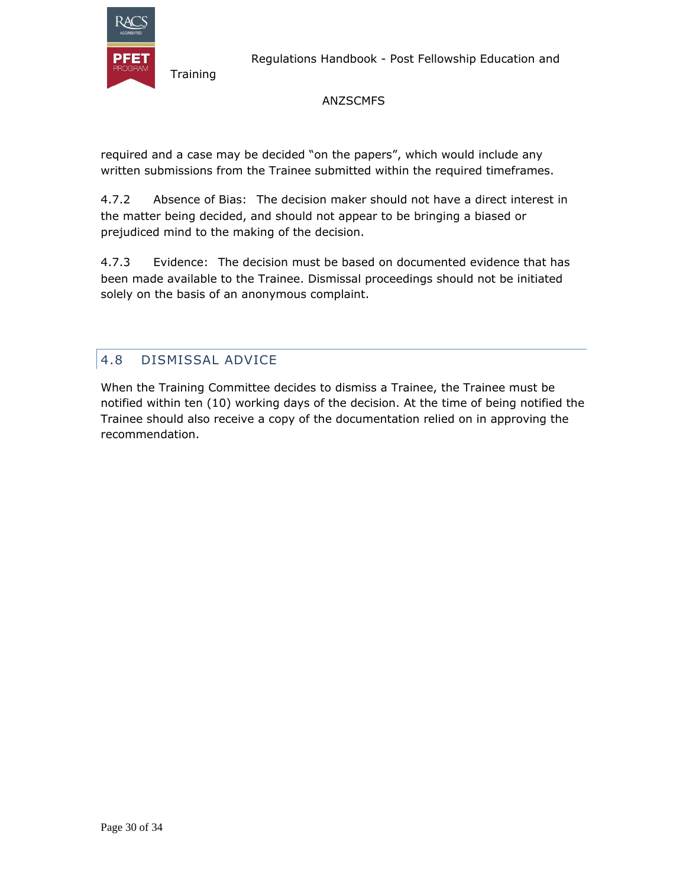

#### ANZSCMFS

required and a case may be decided "on the papers", which would include any written submissions from the Trainee submitted within the required timeframes.

4.7.2 Absence of Bias: The decision maker should not have a direct interest in the matter being decided, and should not appear to be bringing a biased or prejudiced mind to the making of the decision.

4.7.3 Evidence: The decision must be based on documented evidence that has been made available to the Trainee. Dismissal proceedings should not be initiated solely on the basis of an anonymous complaint.

# 4.8 DISMISSAL ADVICE

**Training** 

When the Training Committee decides to dismiss a Trainee, the Trainee must be notified within ten (10) working days of the decision. At the time of being notified the Trainee should also receive a copy of the documentation relied on in approving the recommendation.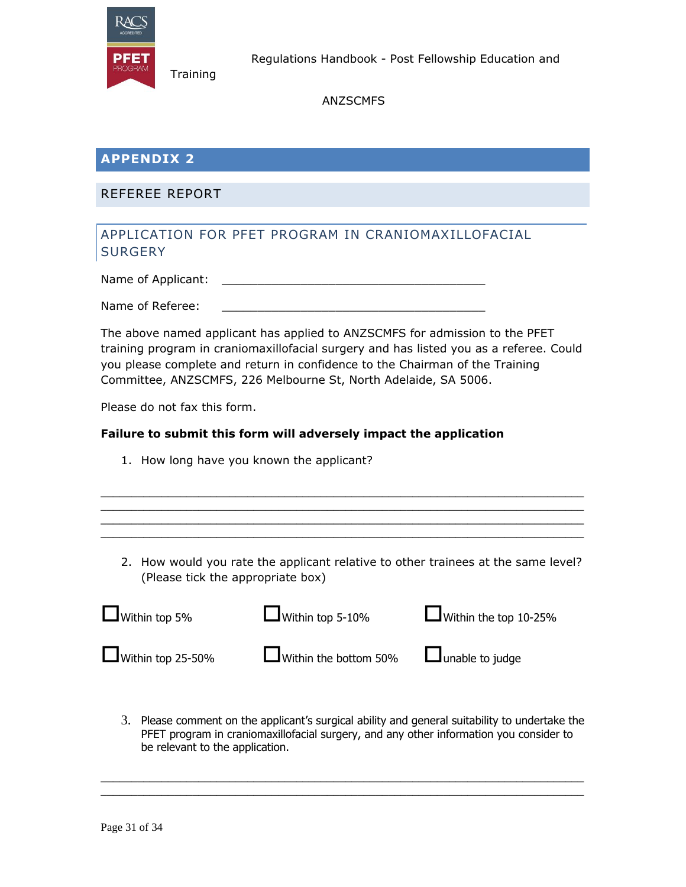

ANZSCMFS

# **APPENDIX 2**

#### REFEREE REPORT

**Training** 

### APPLICATION FOR PFET PROGRAM IN CRANIOMAXILLOFACIAL **SURGERY**

Name of Applicant:

Name of Referee:

The above named applicant has applied to ANZSCMFS for admission to the PFET training program in craniomaxillofacial surgery and has listed you as a referee. Could you please complete and return in confidence to the Chairman of the Training Committee, ANZSCMFS, 226 Melbourne St, North Adelaide, SA 5006.

Please do not fax this form.

#### **Failure to submit this form will adversely impact the application**

- 1. How long have you known the applicant?
- 2. How would you rate the applicant relative to other trainees at the same level? (Please tick the appropriate box)

 $\_$  , and the set of the set of the set of the set of the set of the set of the set of the set of the set of the set of the set of the set of the set of the set of the set of the set of the set of the set of the set of th \_\_\_\_\_\_\_\_\_\_\_\_\_\_\_\_\_\_\_\_\_\_\_\_\_\_\_\_\_\_\_\_\_\_\_\_\_\_\_\_\_\_\_\_\_\_\_\_\_\_\_\_\_\_\_\_\_\_\_\_\_\_\_\_\_\_\_\_\_\_\_\_\_\_\_\_\_\_\_ \_\_\_\_\_\_\_\_\_\_\_\_\_\_\_\_\_\_\_\_\_\_\_\_\_\_\_\_\_\_\_\_\_\_\_\_\_\_\_\_\_\_\_\_\_\_\_\_\_\_\_\_\_\_\_\_\_\_\_\_\_\_\_\_\_\_\_\_\_\_\_\_\_\_\_\_\_\_\_ \_\_\_\_\_\_\_\_\_\_\_\_\_\_\_\_\_\_\_\_\_\_\_\_\_\_\_\_\_\_\_\_\_\_\_\_\_\_\_\_\_\_\_\_\_\_\_\_\_\_\_\_\_\_\_\_\_\_\_\_\_\_\_\_\_\_\_\_\_\_\_\_\_\_\_\_\_\_\_

| $\Box$ Within top 5%     | $\Box$ Within top 5-10%                             | $\Box$ Within the top 10-25% |
|--------------------------|-----------------------------------------------------|------------------------------|
| $\Box$ Within top 25-50% | $\Box$ Within the bottom 50% $\Box$ unable to judge |                              |

3. Please comment on the applicant's surgical ability and general suitability to undertake the PFET program in craniomaxillofacial surgery, and any other information you consider to be relevant to the application.

\_\_\_\_\_\_\_\_\_\_\_\_\_\_\_\_\_\_\_\_\_\_\_\_\_\_\_\_\_\_\_\_\_\_\_\_\_\_\_\_\_\_\_\_\_\_\_\_\_\_\_\_\_\_\_\_\_\_\_\_\_\_\_\_\_\_\_\_\_\_\_\_\_\_\_\_\_\_\_  $\_$  , and the set of the set of the set of the set of the set of the set of the set of the set of the set of the set of the set of the set of the set of the set of the set of the set of the set of the set of the set of th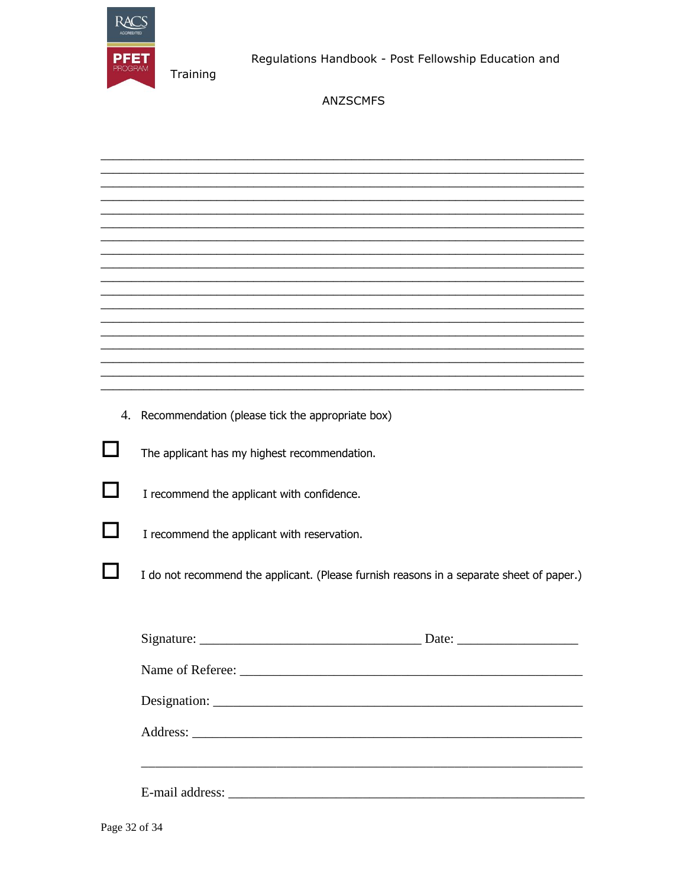

Regulations Handbook - Post Fellowship Education and

| 4. Recommendation (please tick the appropriate box)                                      |
|------------------------------------------------------------------------------------------|
| The applicant has my highest recommendation.                                             |
| I recommend the applicant with confidence.                                               |
| I recommend the applicant with reservation.                                              |
| I do not recommend the applicant. (Please furnish reasons in a separate sheet of paper.) |
| Signature:<br>Date:                                                                      |
|                                                                                          |
|                                                                                          |
|                                                                                          |
|                                                                                          |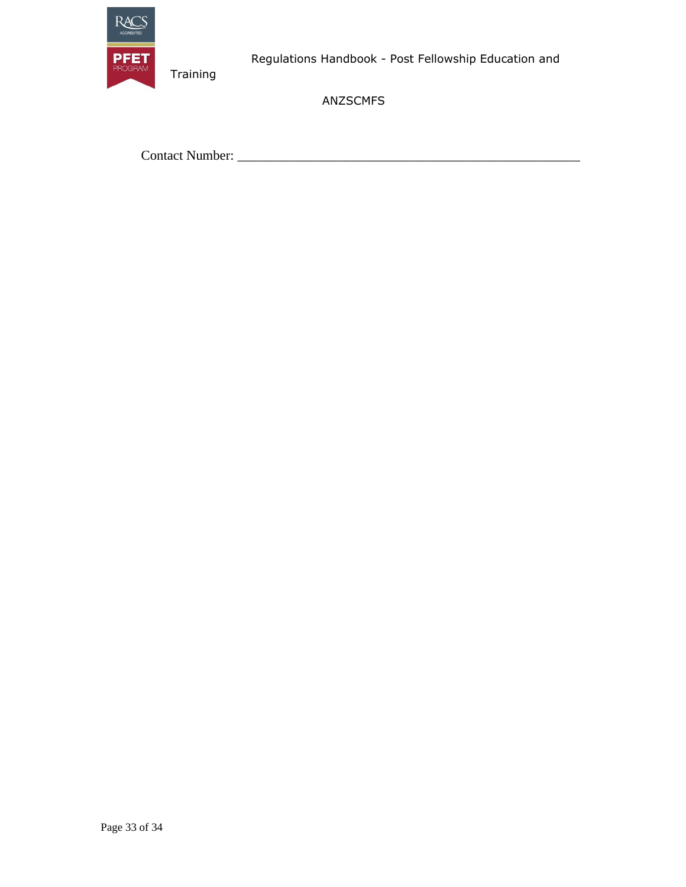

ANZSCMFS

Contact Number: \_\_\_\_\_\_\_\_\_\_\_\_\_\_\_\_\_\_\_\_\_\_\_\_\_\_\_\_\_\_\_\_\_\_\_\_\_\_\_\_\_\_\_\_\_\_\_\_\_\_\_

Training